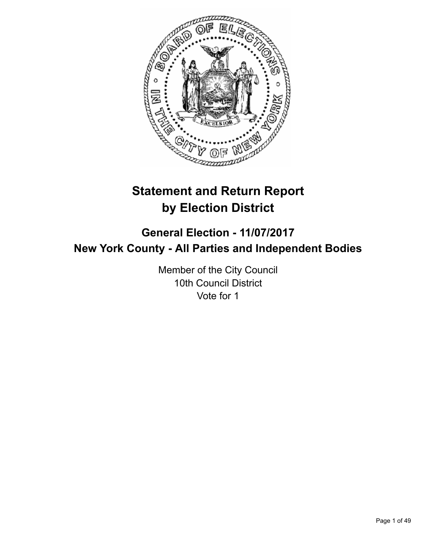

# **Statement and Return Report by Election District**

# **General Election - 11/07/2017 New York County - All Parties and Independent Bodies**

Member of the City Council 10th Council District Vote for 1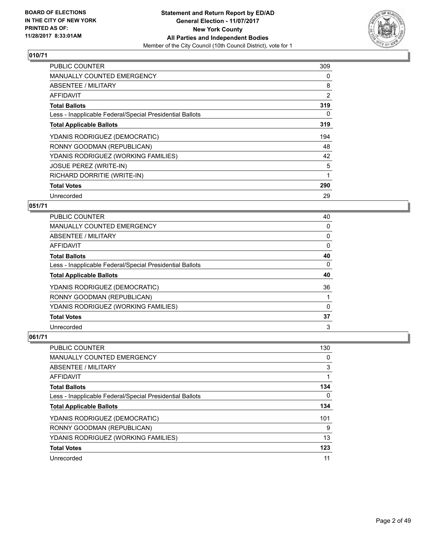

| <b>PUBLIC COUNTER</b>                                    | 309 |
|----------------------------------------------------------|-----|
| <b>MANUALLY COUNTED EMERGENCY</b>                        | 0   |
| ABSENTEE / MILITARY                                      | 8   |
| <b>AFFIDAVIT</b>                                         | 2   |
| <b>Total Ballots</b>                                     | 319 |
| Less - Inapplicable Federal/Special Presidential Ballots | 0   |
| <b>Total Applicable Ballots</b>                          | 319 |
| YDANIS RODRIGUEZ (DEMOCRATIC)                            | 194 |
| RONNY GOODMAN (REPUBLICAN)                               | 48  |
| YDANIS RODRIGUEZ (WORKING FAMILIES)                      | 42  |
| <b>JOSUE PEREZ (WRITE-IN)</b>                            | 5   |
| RICHARD DORRITIE (WRITE-IN)                              |     |
| <b>Total Votes</b>                                       | 290 |
| Unrecorded                                               | 29  |

## **051/71**

| PUBLIC COUNTER                                           | 40 |
|----------------------------------------------------------|----|
| <b>MANUALLY COUNTED EMERGENCY</b>                        | 0  |
| ABSENTEE / MILITARY                                      | 0  |
| <b>AFFIDAVIT</b>                                         | 0  |
| <b>Total Ballots</b>                                     | 40 |
| Less - Inapplicable Federal/Special Presidential Ballots | 0  |
| <b>Total Applicable Ballots</b>                          | 40 |
| YDANIS RODRIGUEZ (DEMOCRATIC)                            | 36 |
| RONNY GOODMAN (REPUBLICAN)                               |    |
| YDANIS RODRIGUEZ (WORKING FAMILIES)                      | 0  |
| <b>Total Votes</b>                                       | 37 |
| Unrecorded                                               | 3  |

| <b>PUBLIC COUNTER</b>                                    | 130 |
|----------------------------------------------------------|-----|
| <b>MANUALLY COUNTED EMERGENCY</b>                        | 0   |
| ABSENTEE / MILITARY                                      | 3   |
| AFFIDAVIT                                                |     |
| <b>Total Ballots</b>                                     | 134 |
| Less - Inapplicable Federal/Special Presidential Ballots | 0   |
| <b>Total Applicable Ballots</b>                          | 134 |
| YDANIS RODRIGUEZ (DEMOCRATIC)                            | 101 |
| RONNY GOODMAN (REPUBLICAN)                               | 9   |
| YDANIS RODRIGUEZ (WORKING FAMILIES)                      | 13  |
| <b>Total Votes</b>                                       | 123 |
| Unrecorded                                               | 11  |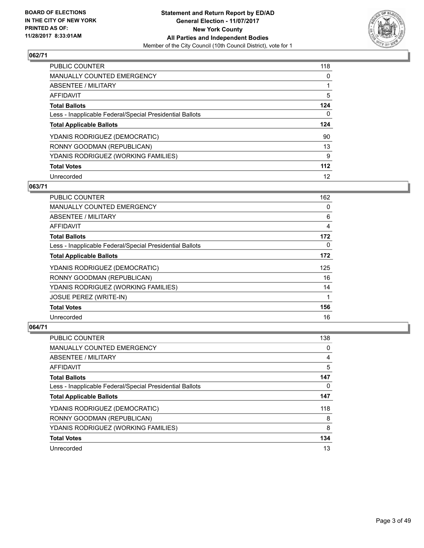

| <b>PUBLIC COUNTER</b>                                    | 118 |
|----------------------------------------------------------|-----|
| <b>MANUALLY COUNTED EMERGENCY</b>                        | 0   |
| ABSENTEE / MILITARY                                      |     |
| AFFIDAVIT                                                | 5   |
| <b>Total Ballots</b>                                     | 124 |
| Less - Inapplicable Federal/Special Presidential Ballots | 0   |
| <b>Total Applicable Ballots</b>                          | 124 |
| YDANIS RODRIGUEZ (DEMOCRATIC)                            | 90  |
| RONNY GOODMAN (REPUBLICAN)                               | 13  |
| YDANIS RODRIGUEZ (WORKING FAMILIES)                      | 9   |
| <b>Total Votes</b>                                       | 112 |
| Unrecorded                                               | 12  |

## **063/71**

| PUBLIC COUNTER                                           | 162 |
|----------------------------------------------------------|-----|
| <b>MANUALLY COUNTED EMERGENCY</b>                        | 0   |
| ABSENTEE / MILITARY                                      | 6   |
| AFFIDAVIT                                                | 4   |
| <b>Total Ballots</b>                                     | 172 |
| Less - Inapplicable Federal/Special Presidential Ballots | 0   |
| <b>Total Applicable Ballots</b>                          | 172 |
| YDANIS RODRIGUEZ (DEMOCRATIC)                            | 125 |
| RONNY GOODMAN (REPUBLICAN)                               | 16  |
| YDANIS RODRIGUEZ (WORKING FAMILIES)                      | 14  |
| JOSUE PEREZ (WRITE-IN)                                   | 1   |
| <b>Total Votes</b>                                       | 156 |
| Unrecorded                                               | 16  |

| <b>PUBLIC COUNTER</b>                                    | 138 |
|----------------------------------------------------------|-----|
| <b>MANUALLY COUNTED EMERGENCY</b>                        | 0   |
| ABSENTEE / MILITARY                                      | 4   |
| AFFIDAVIT                                                | 5   |
| <b>Total Ballots</b>                                     | 147 |
| Less - Inapplicable Federal/Special Presidential Ballots | 0   |
| <b>Total Applicable Ballots</b>                          | 147 |
| YDANIS RODRIGUEZ (DEMOCRATIC)                            | 118 |
| RONNY GOODMAN (REPUBLICAN)                               | 8   |
| YDANIS RODRIGUEZ (WORKING FAMILIES)                      | 8   |
| <b>Total Votes</b>                                       | 134 |
| Unrecorded                                               | 13  |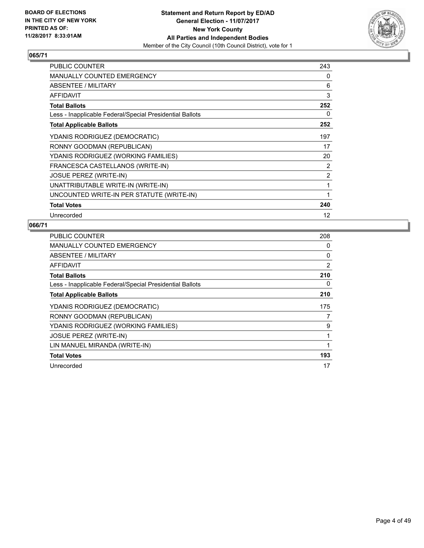

| PUBLIC COUNTER                                           | 243 |
|----------------------------------------------------------|-----|
| <b>MANUALLY COUNTED EMERGENCY</b>                        | 0   |
| ABSENTEE / MILITARY                                      | 6   |
| <b>AFFIDAVIT</b>                                         | 3   |
| <b>Total Ballots</b>                                     | 252 |
| Less - Inapplicable Federal/Special Presidential Ballots | 0   |
| <b>Total Applicable Ballots</b>                          | 252 |
| YDANIS RODRIGUEZ (DEMOCRATIC)                            | 197 |
| RONNY GOODMAN (REPUBLICAN)                               | 17  |
| YDANIS RODRIGUEZ (WORKING FAMILIES)                      | 20  |
| FRANCESCA CASTELLANOS (WRITE-IN)                         | 2   |
| <b>JOSUE PEREZ (WRITE-IN)</b>                            | 2   |
| UNATTRIBUTABLE WRITE-IN (WRITE-IN)                       | 1   |
| UNCOUNTED WRITE-IN PER STATUTE (WRITE-IN)                | 1   |
| <b>Total Votes</b>                                       | 240 |
| Unrecorded                                               | 12  |

| <b>PUBLIC COUNTER</b>                                    | 208 |
|----------------------------------------------------------|-----|
| <b>MANUALLY COUNTED EMERGENCY</b>                        | 0   |
| ABSENTEE / MILITARY                                      | 0   |
| AFFIDAVIT                                                | 2   |
| <b>Total Ballots</b>                                     | 210 |
| Less - Inapplicable Federal/Special Presidential Ballots | 0   |
| <b>Total Applicable Ballots</b>                          | 210 |
| YDANIS RODRIGUEZ (DEMOCRATIC)                            | 175 |
| RONNY GOODMAN (REPUBLICAN)                               | 7   |
| YDANIS RODRIGUEZ (WORKING FAMILIES)                      | 9   |
| <b>JOSUE PEREZ (WRITE-IN)</b>                            | 1   |
| LIN MANUEL MIRANDA (WRITE-IN)                            |     |
| <b>Total Votes</b>                                       | 193 |
| Unrecorded                                               | 17  |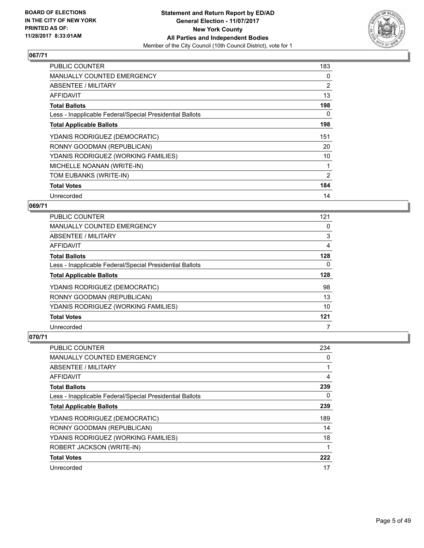

| <b>PUBLIC COUNTER</b>                                    | 183 |
|----------------------------------------------------------|-----|
| <b>MANUALLY COUNTED EMERGENCY</b>                        | 0   |
| <b>ABSENTEE / MILITARY</b>                               | 2   |
| AFFIDAVIT                                                | 13  |
| <b>Total Ballots</b>                                     | 198 |
| Less - Inapplicable Federal/Special Presidential Ballots | 0   |
| <b>Total Applicable Ballots</b>                          | 198 |
| YDANIS RODRIGUEZ (DEMOCRATIC)                            | 151 |
| RONNY GOODMAN (REPUBLICAN)                               | 20  |
| YDANIS RODRIGUEZ (WORKING FAMILIES)                      | 10  |
| MICHELLE NOANAN (WRITE-IN)                               |     |
| TOM EUBANKS (WRITE-IN)                                   | 2   |
| <b>Total Votes</b>                                       | 184 |
| Unrecorded                                               | 14  |

## **069/71**

| <b>PUBLIC COUNTER</b>                                    | 121 |
|----------------------------------------------------------|-----|
| <b>MANUALLY COUNTED EMERGENCY</b>                        | 0   |
| ABSENTEE / MILITARY                                      | 3   |
| AFFIDAVIT                                                | 4   |
| <b>Total Ballots</b>                                     | 128 |
| Less - Inapplicable Federal/Special Presidential Ballots | 0   |
| <b>Total Applicable Ballots</b>                          | 128 |
| YDANIS RODRIGUEZ (DEMOCRATIC)                            | 98  |
| RONNY GOODMAN (REPUBLICAN)                               | 13  |
| YDANIS RODRIGUEZ (WORKING FAMILIES)                      | 10  |
| <b>Total Votes</b>                                       | 121 |
| Unrecorded                                               | 7   |

| <b>PUBLIC COUNTER</b>                                    | 234 |
|----------------------------------------------------------|-----|
| <b>MANUALLY COUNTED EMERGENCY</b>                        | 0   |
| ABSENTEE / MILITARY                                      |     |
| AFFIDAVIT                                                | 4   |
| <b>Total Ballots</b>                                     | 239 |
| Less - Inapplicable Federal/Special Presidential Ballots | 0   |
| <b>Total Applicable Ballots</b>                          | 239 |
| YDANIS RODRIGUEZ (DEMOCRATIC)                            | 189 |
| RONNY GOODMAN (REPUBLICAN)                               | 14  |
| YDANIS RODRIGUEZ (WORKING FAMILIES)                      | 18  |
| ROBERT JACKSON (WRITE-IN)                                | 1   |
| <b>Total Votes</b>                                       | 222 |
| Unrecorded                                               | 17  |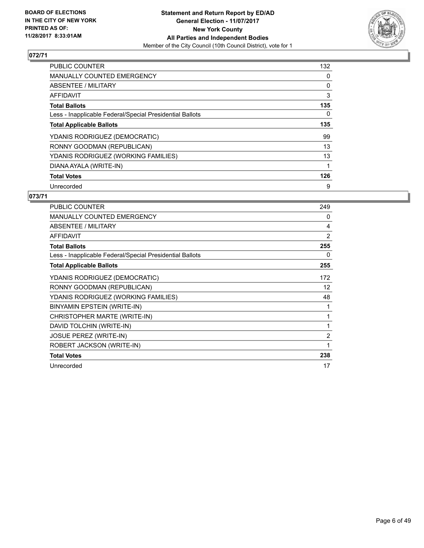

| <b>PUBLIC COUNTER</b>                                    | 132 |
|----------------------------------------------------------|-----|
| <b>MANUALLY COUNTED EMERGENCY</b>                        | 0   |
| ABSENTEE / MILITARY                                      | 0   |
| AFFIDAVIT                                                | 3   |
| <b>Total Ballots</b>                                     | 135 |
| Less - Inapplicable Federal/Special Presidential Ballots | 0   |
| <b>Total Applicable Ballots</b>                          | 135 |
| YDANIS RODRIGUEZ (DEMOCRATIC)                            | 99  |
| RONNY GOODMAN (REPUBLICAN)                               | 13  |
| YDANIS RODRIGUEZ (WORKING FAMILIES)                      | 13  |
| DIANA AYALA (WRITE-IN)                                   |     |
| <b>Total Votes</b>                                       | 126 |
| Unrecorded                                               | 9   |

| <b>PUBLIC COUNTER</b>                                    | 249 |
|----------------------------------------------------------|-----|
| <b>MANUALLY COUNTED EMERGENCY</b>                        | 0   |
| ABSENTEE / MILITARY                                      | 4   |
| AFFIDAVIT                                                | 2   |
| <b>Total Ballots</b>                                     | 255 |
| Less - Inapplicable Federal/Special Presidential Ballots | 0   |
| <b>Total Applicable Ballots</b>                          | 255 |
| YDANIS RODRIGUEZ (DEMOCRATIC)                            | 172 |
| RONNY GOODMAN (REPUBLICAN)                               | 12  |
| YDANIS RODRIGUEZ (WORKING FAMILIES)                      | 48  |
| BINYAMIN EPSTEIN (WRITE-IN)                              | 1   |
| CHRISTOPHER MARTE (WRITE-IN)                             | 1   |
| DAVID TOLCHIN (WRITE-IN)                                 | 1   |
| <b>JOSUE PEREZ (WRITE-IN)</b>                            | 2   |
| ROBERT JACKSON (WRITE-IN)                                | 1   |
| <b>Total Votes</b>                                       | 238 |
| Unrecorded                                               | 17  |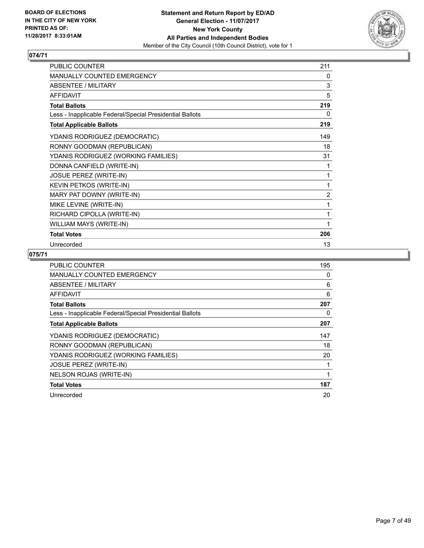

| PUBLIC COUNTER                                           | 211            |
|----------------------------------------------------------|----------------|
| <b>MANUALLY COUNTED EMERGENCY</b>                        | 0              |
| ABSENTEE / MILITARY                                      | 3              |
| <b>AFFIDAVIT</b>                                         | 5              |
| <b>Total Ballots</b>                                     | 219            |
| Less - Inapplicable Federal/Special Presidential Ballots | 0              |
| <b>Total Applicable Ballots</b>                          | 219            |
| YDANIS RODRIGUEZ (DEMOCRATIC)                            | 149            |
| RONNY GOODMAN (REPUBLICAN)                               | 18             |
| YDANIS RODRIGUEZ (WORKING FAMILIES)                      | 31             |
| DONNA CANFIELD (WRITE-IN)                                | 1              |
| <b>JOSUE PEREZ (WRITE-IN)</b>                            | 1              |
| KEVIN PETKOS (WRITE-IN)                                  | 1              |
| MARY PAT DOWNY (WRITE-IN)                                | $\overline{2}$ |
| MIKE LEVINE (WRITE-IN)                                   | 1              |
| RICHARD CIPOLLA (WRITE-IN)                               | 1              |
| WILLIAM MAYS (WRITE-IN)                                  | 1              |
| <b>Total Votes</b>                                       | 206            |
| Unrecorded                                               | 13             |

| <b>PUBLIC COUNTER</b>                                    | 195 |
|----------------------------------------------------------|-----|
| <b>MANUALLY COUNTED EMERGENCY</b>                        | 0   |
| ABSENTEE / MILITARY                                      | 6   |
| AFFIDAVIT                                                | 6   |
| <b>Total Ballots</b>                                     | 207 |
| Less - Inapplicable Federal/Special Presidential Ballots | 0   |
| <b>Total Applicable Ballots</b>                          | 207 |
| YDANIS RODRIGUEZ (DEMOCRATIC)                            | 147 |
| RONNY GOODMAN (REPUBLICAN)                               | 18  |
| YDANIS RODRIGUEZ (WORKING FAMILIES)                      | 20  |
| <b>JOSUE PEREZ (WRITE-IN)</b>                            |     |
| NELSON ROJAS (WRITE-IN)                                  |     |
| <b>Total Votes</b>                                       | 187 |
| Unrecorded                                               | 20  |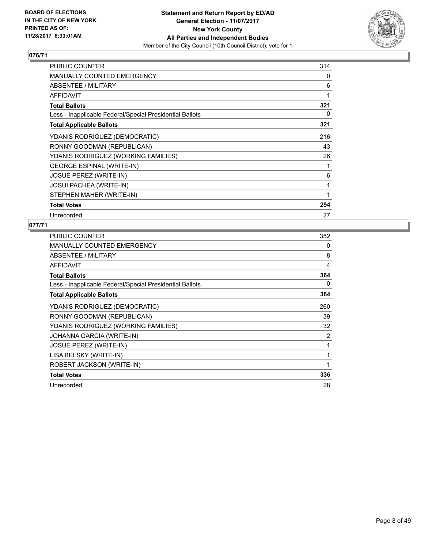

| <b>PUBLIC COUNTER</b>                                    | 314 |
|----------------------------------------------------------|-----|
| <b>MANUALLY COUNTED EMERGENCY</b>                        | 0   |
| ABSENTEE / MILITARY                                      | 6   |
| AFFIDAVIT                                                | 1   |
| <b>Total Ballots</b>                                     | 321 |
| Less - Inapplicable Federal/Special Presidential Ballots | 0   |
| <b>Total Applicable Ballots</b>                          | 321 |
| YDANIS RODRIGUEZ (DEMOCRATIC)                            | 216 |
| RONNY GOODMAN (REPUBLICAN)                               | 43  |
| YDANIS RODRIGUEZ (WORKING FAMILIES)                      | 26  |
| <b>GEORGE ESPINAL (WRITE-IN)</b>                         |     |
| <b>JOSUE PEREZ (WRITE-IN)</b>                            | 6   |
| <b>JOSUI PACHEA (WRITE-IN)</b>                           | 1   |
| STEPHEN MAHER (WRITE-IN)                                 |     |
| <b>Total Votes</b>                                       | 294 |
| Unrecorded                                               | 27  |

| <b>PUBLIC COUNTER</b>                                    | 352 |
|----------------------------------------------------------|-----|
| <b>MANUALLY COUNTED EMERGENCY</b>                        | 0   |
| ABSENTEE / MILITARY                                      | 8   |
| <b>AFFIDAVIT</b>                                         | 4   |
| <b>Total Ballots</b>                                     | 364 |
| Less - Inapplicable Federal/Special Presidential Ballots | 0   |
| <b>Total Applicable Ballots</b>                          | 364 |
| YDANIS RODRIGUEZ (DEMOCRATIC)                            | 260 |
| RONNY GOODMAN (REPUBLICAN)                               | 39  |
| YDANIS RODRIGUEZ (WORKING FAMILIES)                      | 32  |
| JOHANNA GARCIA (WRITE-IN)                                | 2   |
| <b>JOSUE PEREZ (WRITE-IN)</b>                            | 1   |
| LISA BELSKY (WRITE-IN)                                   | 1   |
| ROBERT JACKSON (WRITE-IN)                                | 1   |
| <b>Total Votes</b>                                       | 336 |
| Unrecorded                                               | 28  |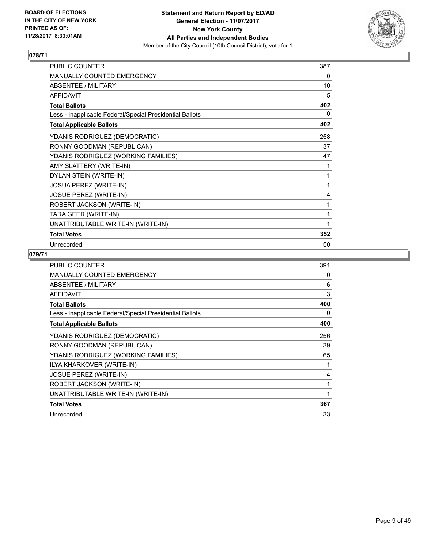

| <b>PUBLIC COUNTER</b>                                    | 387 |
|----------------------------------------------------------|-----|
| <b>MANUALLY COUNTED EMERGENCY</b>                        | 0   |
| <b>ABSENTEE / MILITARY</b>                               | 10  |
| <b>AFFIDAVIT</b>                                         | 5   |
| <b>Total Ballots</b>                                     | 402 |
| Less - Inapplicable Federal/Special Presidential Ballots | 0   |
| <b>Total Applicable Ballots</b>                          | 402 |
| YDANIS RODRIGUEZ (DEMOCRATIC)                            | 258 |
| RONNY GOODMAN (REPUBLICAN)                               | 37  |
| YDANIS RODRIGUEZ (WORKING FAMILIES)                      | 47  |
| AMY SLATTERY (WRITE-IN)                                  | 1   |
| DYLAN STEIN (WRITE-IN)                                   | 1   |
| JOSUA PEREZ (WRITE-IN)                                   | 1   |
| JOSUE PEREZ (WRITE-IN)                                   | 4   |
| ROBERT JACKSON (WRITE-IN)                                | 1   |
| TARA GEER (WRITE-IN)                                     | 1   |
| UNATTRIBUTABLE WRITE-IN (WRITE-IN)                       | 1   |
| <b>Total Votes</b>                                       | 352 |
| Unrecorded                                               | 50  |

| <b>PUBLIC COUNTER</b>                                    | 391 |
|----------------------------------------------------------|-----|
| MANUALLY COUNTED EMERGENCY                               | 0   |
| ABSENTEE / MILITARY                                      | 6   |
| <b>AFFIDAVIT</b>                                         | 3   |
| <b>Total Ballots</b>                                     | 400 |
| Less - Inapplicable Federal/Special Presidential Ballots | 0   |
| <b>Total Applicable Ballots</b>                          | 400 |
| YDANIS RODRIGUEZ (DEMOCRATIC)                            | 256 |
| RONNY GOODMAN (REPUBLICAN)                               | 39  |
| YDANIS RODRIGUEZ (WORKING FAMILIES)                      | 65  |
| ILYA KHARKOVER (WRITE-IN)                                |     |
| <b>JOSUE PEREZ (WRITE-IN)</b>                            | 4   |
| ROBERT JACKSON (WRITE-IN)                                | 1   |
| UNATTRIBUTABLE WRITE-IN (WRITE-IN)                       | 1   |
| <b>Total Votes</b>                                       | 367 |
| Unrecorded                                               | 33  |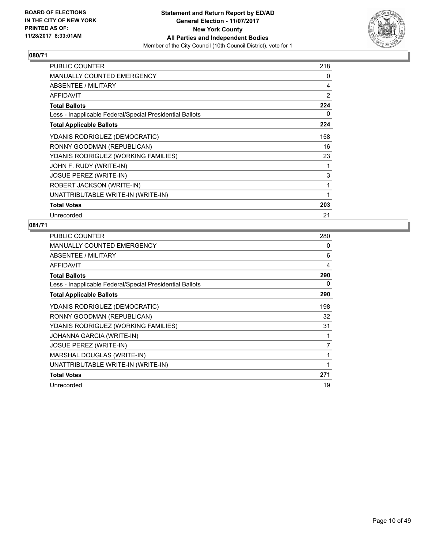

| <b>PUBLIC COUNTER</b>                                    | 218 |
|----------------------------------------------------------|-----|
| MANUALLY COUNTED EMERGENCY                               | 0   |
| ABSENTEE / MILITARY                                      | 4   |
| <b>AFFIDAVIT</b>                                         | 2   |
| <b>Total Ballots</b>                                     | 224 |
| Less - Inapplicable Federal/Special Presidential Ballots | 0   |
| <b>Total Applicable Ballots</b>                          | 224 |
| YDANIS RODRIGUEZ (DEMOCRATIC)                            | 158 |
| RONNY GOODMAN (REPUBLICAN)                               | 16  |
| YDANIS RODRIGUEZ (WORKING FAMILIES)                      | 23  |
| JOHN F. RUDY (WRITE-IN)                                  | 1   |
| JOSUE PEREZ (WRITE-IN)                                   | 3   |
| ROBERT JACKSON (WRITE-IN)                                | 1   |
| UNATTRIBUTABLE WRITE-IN (WRITE-IN)                       | 1   |
| <b>Total Votes</b>                                       | 203 |
| Unrecorded                                               | 21  |

| <b>PUBLIC COUNTER</b>                                    | 280          |
|----------------------------------------------------------|--------------|
| <b>MANUALLY COUNTED EMERGENCY</b>                        | 0            |
| ABSENTEE / MILITARY                                      | 6            |
| <b>AFFIDAVIT</b>                                         | 4            |
| <b>Total Ballots</b>                                     | 290          |
| Less - Inapplicable Federal/Special Presidential Ballots | 0            |
| <b>Total Applicable Ballots</b>                          | 290          |
| YDANIS RODRIGUEZ (DEMOCRATIC)                            | 198          |
| RONNY GOODMAN (REPUBLICAN)                               | 32           |
| YDANIS RODRIGUEZ (WORKING FAMILIES)                      | 31           |
| JOHANNA GARCIA (WRITE-IN)                                |              |
| <b>JOSUE PEREZ (WRITE-IN)</b>                            | 7            |
| MARSHAL DOUGLAS (WRITE-IN)                               | $\mathbf{1}$ |
| UNATTRIBUTABLE WRITE-IN (WRITE-IN)                       | 1            |
| <b>Total Votes</b>                                       | 271          |
| Unrecorded                                               | 19           |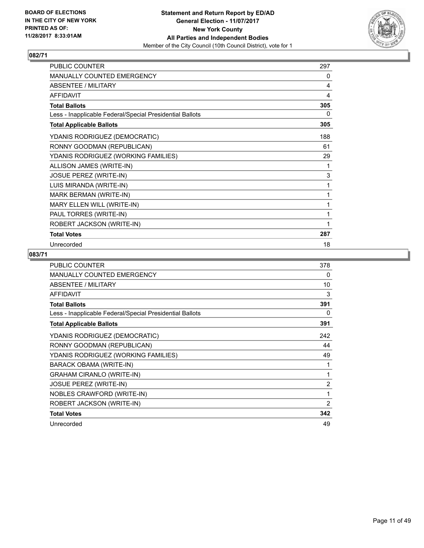

| PUBLIC COUNTER                                           | 297 |
|----------------------------------------------------------|-----|
| MANUALLY COUNTED EMERGENCY                               | 0   |
| <b>ABSENTEE / MILITARY</b>                               | 4   |
| <b>AFFIDAVIT</b>                                         | 4   |
| <b>Total Ballots</b>                                     | 305 |
| Less - Inapplicable Federal/Special Presidential Ballots | 0   |
| <b>Total Applicable Ballots</b>                          | 305 |
| YDANIS RODRIGUEZ (DEMOCRATIC)                            | 188 |
| RONNY GOODMAN (REPUBLICAN)                               | 61  |
| YDANIS RODRIGUEZ (WORKING FAMILIES)                      | 29  |
| ALLISON JAMES (WRITE-IN)                                 | 1   |
| JOSUE PEREZ (WRITE-IN)                                   | 3   |
| LUIS MIRANDA (WRITE-IN)                                  | 1   |
| MARK BERMAN (WRITE-IN)                                   | 1   |
| MARY ELLEN WILL (WRITE-IN)                               | 1   |
| PAUL TORRES (WRITE-IN)                                   | 1   |
| ROBERT JACKSON (WRITE-IN)                                | 1   |
| <b>Total Votes</b>                                       | 287 |
| Unrecorded                                               | 18  |

| <b>PUBLIC COUNTER</b>                                    | 378            |
|----------------------------------------------------------|----------------|
| <b>MANUALLY COUNTED EMERGENCY</b>                        | 0              |
| ABSENTEE / MILITARY                                      | 10             |
| <b>AFFIDAVIT</b>                                         | 3              |
| <b>Total Ballots</b>                                     | 391            |
| Less - Inapplicable Federal/Special Presidential Ballots | 0              |
| <b>Total Applicable Ballots</b>                          | 391            |
| YDANIS RODRIGUEZ (DEMOCRATIC)                            | 242            |
| RONNY GOODMAN (REPUBLICAN)                               | 44             |
| YDANIS RODRIGUEZ (WORKING FAMILIES)                      | 49             |
| BARACK OBAMA (WRITE-IN)                                  |                |
| <b>GRAHAM CIRANLO (WRITE-IN)</b>                         | 1              |
| <b>JOSUE PEREZ (WRITE-IN)</b>                            | $\overline{2}$ |
| NOBLES CRAWFORD (WRITE-IN)                               | $\mathbf{1}$   |
| ROBERT JACKSON (WRITE-IN)                                | $\overline{2}$ |
| <b>Total Votes</b>                                       | 342            |
| Unrecorded                                               | 49             |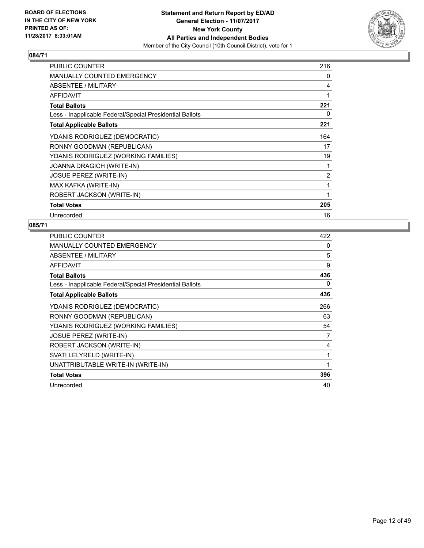

| <b>PUBLIC COUNTER</b>                                    | 216            |
|----------------------------------------------------------|----------------|
| <b>MANUALLY COUNTED EMERGENCY</b>                        | 0              |
| ABSENTEE / MILITARY                                      | 4              |
| <b>AFFIDAVIT</b>                                         | 1              |
| <b>Total Ballots</b>                                     | 221            |
| Less - Inapplicable Federal/Special Presidential Ballots | 0              |
| <b>Total Applicable Ballots</b>                          | 221            |
| YDANIS RODRIGUEZ (DEMOCRATIC)                            | 164            |
| RONNY GOODMAN (REPUBLICAN)                               | 17             |
| YDANIS RODRIGUEZ (WORKING FAMILIES)                      | 19             |
| JOANNA DRAGICH (WRITE-IN)                                | 1              |
| <b>JOSUE PEREZ (WRITE-IN)</b>                            | $\overline{2}$ |
| MAX KAFKA (WRITE-IN)                                     | 1              |
| ROBERT JACKSON (WRITE-IN)                                | 1              |
| <b>Total Votes</b>                                       | 205            |
| Unrecorded                                               | 16             |

| PUBLIC COUNTER                                           | 422 |
|----------------------------------------------------------|-----|
| MANUALLY COUNTED EMERGENCY                               | 0   |
| ABSENTEE / MILITARY                                      | 5   |
| <b>AFFIDAVIT</b>                                         | 9   |
| <b>Total Ballots</b>                                     | 436 |
| Less - Inapplicable Federal/Special Presidential Ballots | 0   |
| <b>Total Applicable Ballots</b>                          | 436 |
| YDANIS RODRIGUEZ (DEMOCRATIC)                            | 266 |
| RONNY GOODMAN (REPUBLICAN)                               | 63  |
| YDANIS RODRIGUEZ (WORKING FAMILIES)                      | 54  |
| <b>JOSUE PEREZ (WRITE-IN)</b>                            | 7   |
| ROBERT JACKSON (WRITE-IN)                                | 4   |
| SVATI LELYRELD (WRITE-IN)                                | 1   |
| UNATTRIBUTABLE WRITE-IN (WRITE-IN)                       | 1   |
| <b>Total Votes</b>                                       | 396 |
| Unrecorded                                               | 40  |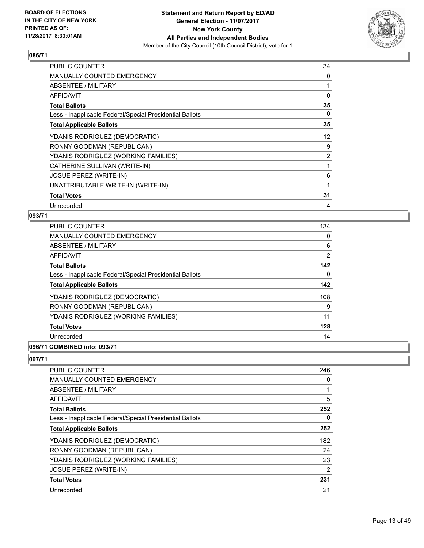

| <b>PUBLIC COUNTER</b>                                    | 34             |
|----------------------------------------------------------|----------------|
| <b>MANUALLY COUNTED EMERGENCY</b>                        | 0              |
| ABSENTEE / MILITARY                                      |                |
| <b>AFFIDAVIT</b>                                         | 0              |
| <b>Total Ballots</b>                                     | 35             |
| Less - Inapplicable Federal/Special Presidential Ballots | 0              |
| <b>Total Applicable Ballots</b>                          | 35             |
| YDANIS RODRIGUEZ (DEMOCRATIC)                            | 12             |
| RONNY GOODMAN (REPUBLICAN)                               | 9              |
| YDANIS RODRIGUEZ (WORKING FAMILIES)                      | $\overline{2}$ |
| CATHERINE SULLIVAN (WRITE-IN)                            |                |
| <b>JOSUE PEREZ (WRITE-IN)</b>                            | 6              |
| UNATTRIBUTABLE WRITE-IN (WRITE-IN)                       | 1              |
| <b>Total Votes</b>                                       | 31             |
| Unrecorded                                               | 4              |

## **093/71**

| <b>PUBLIC COUNTER</b>                                    | 134 |
|----------------------------------------------------------|-----|
| <b>MANUALLY COUNTED EMERGENCY</b>                        | 0   |
| ABSENTEE / MILITARY                                      | 6   |
| AFFIDAVIT                                                | 2   |
| <b>Total Ballots</b>                                     | 142 |
| Less - Inapplicable Federal/Special Presidential Ballots | 0   |
| <b>Total Applicable Ballots</b>                          | 142 |
| YDANIS RODRIGUEZ (DEMOCRATIC)                            | 108 |
| RONNY GOODMAN (REPUBLICAN)                               | 9   |
| YDANIS RODRIGUEZ (WORKING FAMILIES)                      | 11  |
| <b>Total Votes</b>                                       | 128 |
| Unrecorded                                               | 14  |
|                                                          |     |

# **096/71 COMBINED into: 093/71**

| <b>PUBLIC COUNTER</b>                                    | 246            |
|----------------------------------------------------------|----------------|
| <b>MANUALLY COUNTED EMERGENCY</b>                        | 0              |
| ABSENTEE / MILITARY                                      | 1              |
| AFFIDAVIT                                                | 5              |
| <b>Total Ballots</b>                                     | 252            |
| Less - Inapplicable Federal/Special Presidential Ballots | 0              |
| <b>Total Applicable Ballots</b>                          | 252            |
| YDANIS RODRIGUEZ (DEMOCRATIC)                            | 182            |
| RONNY GOODMAN (REPUBLICAN)                               | 24             |
| YDANIS RODRIGUEZ (WORKING FAMILIES)                      | 23             |
| <b>JOSUE PEREZ (WRITE-IN)</b>                            | $\overline{2}$ |
| <b>Total Votes</b>                                       | 231            |
| Unrecorded                                               | 21             |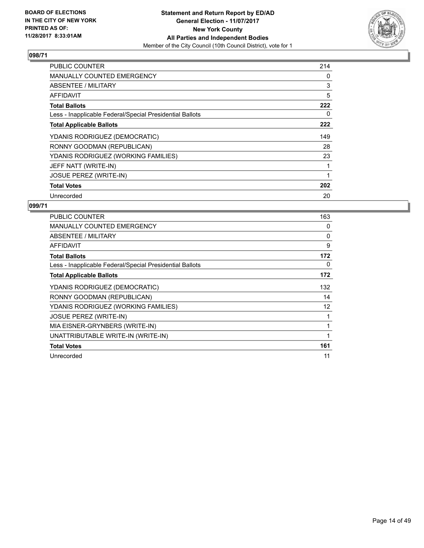

| <b>PUBLIC COUNTER</b>                                    | 214 |
|----------------------------------------------------------|-----|
| <b>MANUALLY COUNTED EMERGENCY</b>                        | 0   |
| ABSENTEE / MILITARY                                      | 3   |
| <b>AFFIDAVIT</b>                                         | 5   |
| <b>Total Ballots</b>                                     | 222 |
| Less - Inapplicable Federal/Special Presidential Ballots | 0   |
| <b>Total Applicable Ballots</b>                          | 222 |
| YDANIS RODRIGUEZ (DEMOCRATIC)                            | 149 |
| RONNY GOODMAN (REPUBLICAN)                               | 28  |
| YDANIS RODRIGUEZ (WORKING FAMILIES)                      | 23  |
| JEFF NATT (WRITE-IN)                                     |     |
| <b>JOSUE PEREZ (WRITE-IN)</b>                            |     |
| <b>Total Votes</b>                                       | 202 |
|                                                          |     |

| <b>PUBLIC COUNTER</b>                                    | 163 |
|----------------------------------------------------------|-----|
| <b>MANUALLY COUNTED EMERGENCY</b>                        | 0   |
| ABSENTEE / MILITARY                                      | 0   |
| <b>AFFIDAVIT</b>                                         | 9   |
| <b>Total Ballots</b>                                     | 172 |
| Less - Inapplicable Federal/Special Presidential Ballots | 0   |
| <b>Total Applicable Ballots</b>                          | 172 |
| YDANIS RODRIGUEZ (DEMOCRATIC)                            | 132 |
| RONNY GOODMAN (REPUBLICAN)                               | 14  |
| YDANIS RODRIGUEZ (WORKING FAMILIES)                      | 12  |
| <b>JOSUE PEREZ (WRITE-IN)</b>                            |     |
| MIA EISNER-GRYNBERS (WRITE-IN)                           |     |
| UNATTRIBUTABLE WRITE-IN (WRITE-IN)                       |     |
| <b>Total Votes</b>                                       | 161 |
| Unrecorded                                               | 11  |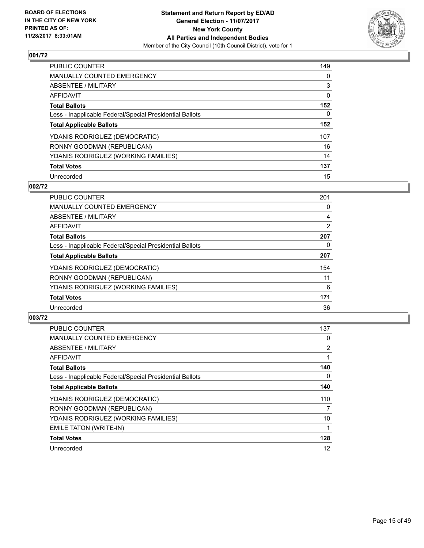

| <b>PUBLIC COUNTER</b>                                    | 149 |
|----------------------------------------------------------|-----|
| <b>MANUALLY COUNTED EMERGENCY</b>                        | 0   |
| ABSENTEE / MILITARY                                      | 3   |
| AFFIDAVIT                                                | 0   |
| <b>Total Ballots</b>                                     | 152 |
| Less - Inapplicable Federal/Special Presidential Ballots | 0   |
| <b>Total Applicable Ballots</b>                          | 152 |
| YDANIS RODRIGUEZ (DEMOCRATIC)                            | 107 |
| RONNY GOODMAN (REPUBLICAN)                               | 16  |
| YDANIS RODRIGUEZ (WORKING FAMILIES)                      | 14  |
| <b>Total Votes</b>                                       | 137 |
| Unrecorded                                               | 15  |

#### **002/72**

| <b>PUBLIC COUNTER</b>                                    | 201            |
|----------------------------------------------------------|----------------|
| <b>MANUALLY COUNTED EMERGENCY</b>                        | 0              |
| ABSENTEE / MILITARY                                      | 4              |
| <b>AFFIDAVIT</b>                                         | $\overline{2}$ |
| <b>Total Ballots</b>                                     | 207            |
| Less - Inapplicable Federal/Special Presidential Ballots | 0              |
| <b>Total Applicable Ballots</b>                          | 207            |
| YDANIS RODRIGUEZ (DEMOCRATIC)                            | 154            |
| RONNY GOODMAN (REPUBLICAN)                               | 11             |
| YDANIS RODRIGUEZ (WORKING FAMILIES)                      | 6              |
| <b>Total Votes</b>                                       | 171            |
| Unrecorded                                               | 36             |

| <b>PUBLIC COUNTER</b>                                    | 137 |
|----------------------------------------------------------|-----|
| <b>MANUALLY COUNTED EMERGENCY</b>                        | 0   |
| ABSENTEE / MILITARY                                      | 2   |
| AFFIDAVIT                                                | 1   |
| <b>Total Ballots</b>                                     | 140 |
| Less - Inapplicable Federal/Special Presidential Ballots | 0   |
| <b>Total Applicable Ballots</b>                          | 140 |
| YDANIS RODRIGUEZ (DEMOCRATIC)                            | 110 |
| RONNY GOODMAN (REPUBLICAN)                               | 7   |
| YDANIS RODRIGUEZ (WORKING FAMILIES)                      | 10  |
| EMILE TATON (WRITE-IN)                                   |     |
| <b>Total Votes</b>                                       | 128 |
| Unrecorded                                               | 12  |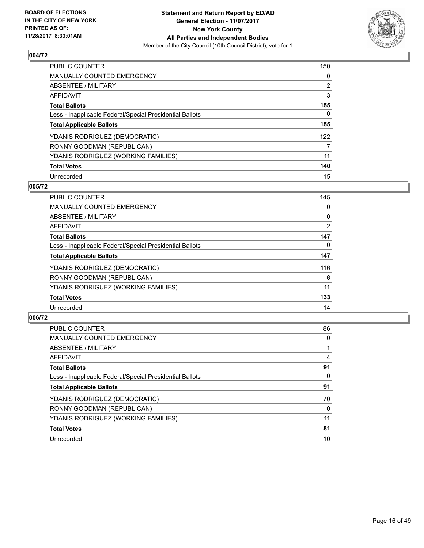

| <b>PUBLIC COUNTER</b>                                    | 150 |
|----------------------------------------------------------|-----|
| <b>MANUALLY COUNTED EMERGENCY</b>                        | 0   |
| ABSENTEE / MILITARY                                      | 2   |
| AFFIDAVIT                                                | 3   |
| <b>Total Ballots</b>                                     | 155 |
| Less - Inapplicable Federal/Special Presidential Ballots | 0   |
| <b>Total Applicable Ballots</b>                          | 155 |
| YDANIS RODRIGUEZ (DEMOCRATIC)                            | 122 |
| RONNY GOODMAN (REPUBLICAN)                               | 7   |
| YDANIS RODRIGUEZ (WORKING FAMILIES)                      | 11  |
| <b>Total Votes</b>                                       | 140 |
| Unrecorded                                               | 15  |

#### **005/72**

| <b>PUBLIC COUNTER</b>                                    | 145 |
|----------------------------------------------------------|-----|
| <b>MANUALLY COUNTED EMERGENCY</b>                        | 0   |
| ABSENTEE / MILITARY                                      | 0   |
| <b>AFFIDAVIT</b>                                         | 2   |
| <b>Total Ballots</b>                                     | 147 |
| Less - Inapplicable Federal/Special Presidential Ballots | 0   |
| <b>Total Applicable Ballots</b>                          | 147 |
| YDANIS RODRIGUEZ (DEMOCRATIC)                            | 116 |
| RONNY GOODMAN (REPUBLICAN)                               | 6   |
| YDANIS RODRIGUEZ (WORKING FAMILIES)                      | 11  |
| <b>Total Votes</b>                                       | 133 |
| Unrecorded                                               | 14  |

| <b>PUBLIC COUNTER</b>                                    | 86 |
|----------------------------------------------------------|----|
| <b>MANUALLY COUNTED EMERGENCY</b>                        | 0  |
| ABSENTEE / MILITARY                                      |    |
| <b>AFFIDAVIT</b>                                         | 4  |
| <b>Total Ballots</b>                                     | 91 |
| Less - Inapplicable Federal/Special Presidential Ballots | 0  |
| <b>Total Applicable Ballots</b>                          | 91 |
| YDANIS RODRIGUEZ (DEMOCRATIC)                            | 70 |
| RONNY GOODMAN (REPUBLICAN)                               | 0  |
| YDANIS RODRIGUEZ (WORKING FAMILIES)                      | 11 |
| <b>Total Votes</b>                                       | 81 |
| Unrecorded                                               | 10 |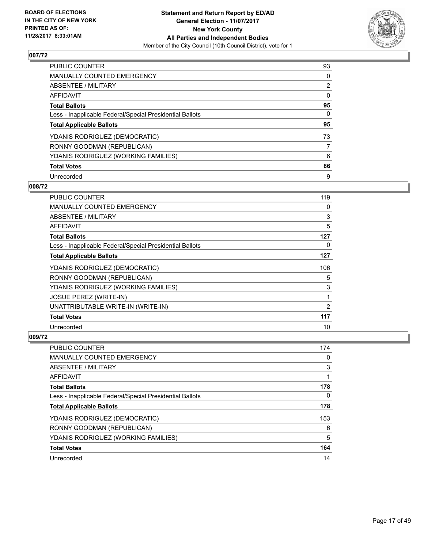

| <b>PUBLIC COUNTER</b>                                    | 93             |
|----------------------------------------------------------|----------------|
| <b>MANUALLY COUNTED EMERGENCY</b>                        | 0              |
| ABSENTEE / MILITARY                                      | $\overline{2}$ |
| AFFIDAVIT                                                | 0              |
| <b>Total Ballots</b>                                     | 95             |
| Less - Inapplicable Federal/Special Presidential Ballots | 0              |
| <b>Total Applicable Ballots</b>                          | 95             |
| YDANIS RODRIGUEZ (DEMOCRATIC)                            | 73             |
| RONNY GOODMAN (REPUBLICAN)                               | 7              |
| YDANIS RODRIGUEZ (WORKING FAMILIES)                      | 6              |
| <b>Total Votes</b>                                       | 86             |
| Unrecorded                                               | 9              |

#### **008/72**

| <b>PUBLIC COUNTER</b>                                    | 119 |
|----------------------------------------------------------|-----|
| <b>MANUALLY COUNTED EMERGENCY</b>                        | 0   |
| ABSENTEE / MILITARY                                      | 3   |
| AFFIDAVIT                                                | 5   |
| <b>Total Ballots</b>                                     | 127 |
| Less - Inapplicable Federal/Special Presidential Ballots | 0   |
| <b>Total Applicable Ballots</b>                          | 127 |
| YDANIS RODRIGUEZ (DEMOCRATIC)                            | 106 |
| RONNY GOODMAN (REPUBLICAN)                               | 5   |
| YDANIS RODRIGUEZ (WORKING FAMILIES)                      | 3   |
| <b>JOSUE PEREZ (WRITE-IN)</b>                            | 1   |
| UNATTRIBUTABLE WRITE-IN (WRITE-IN)                       | 2   |
| <b>Total Votes</b>                                       | 117 |
| Unrecorded                                               | 10  |

| <b>PUBLIC COUNTER</b>                                    | 174 |
|----------------------------------------------------------|-----|
| <b>MANUALLY COUNTED EMERGENCY</b>                        | 0   |
| ABSENTEE / MILITARY                                      | 3   |
| AFFIDAVIT                                                |     |
| <b>Total Ballots</b>                                     | 178 |
| Less - Inapplicable Federal/Special Presidential Ballots | 0   |
| <b>Total Applicable Ballots</b>                          | 178 |
| YDANIS RODRIGUEZ (DEMOCRATIC)                            | 153 |
| RONNY GOODMAN (REPUBLICAN)                               | 6   |
| YDANIS RODRIGUEZ (WORKING FAMILIES)                      | 5   |
| <b>Total Votes</b>                                       | 164 |
| Unrecorded                                               | 14  |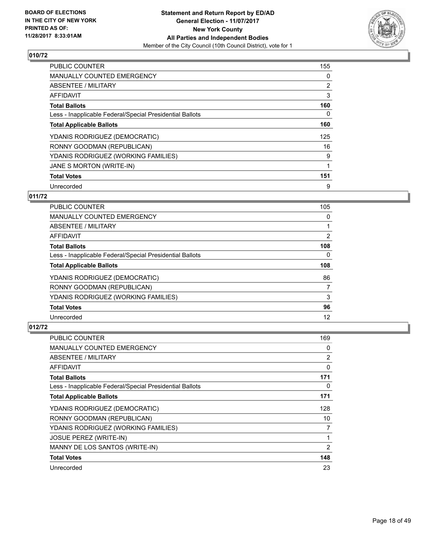

| <b>PUBLIC COUNTER</b>                                    | 155 |
|----------------------------------------------------------|-----|
| <b>MANUALLY COUNTED EMERGENCY</b>                        | 0   |
| ABSENTEE / MILITARY                                      | 2   |
| <b>AFFIDAVIT</b>                                         | 3   |
| <b>Total Ballots</b>                                     | 160 |
| Less - Inapplicable Federal/Special Presidential Ballots | 0   |
| <b>Total Applicable Ballots</b>                          | 160 |
| YDANIS RODRIGUEZ (DEMOCRATIC)                            | 125 |
| RONNY GOODMAN (REPUBLICAN)                               | 16  |
| YDANIS RODRIGUEZ (WORKING FAMILIES)                      | 9   |
| JANE S MORTON (WRITE-IN)                                 |     |
| <b>Total Votes</b>                                       | 151 |
| Unrecorded                                               | 9   |

# **011/72**

| <b>PUBLIC COUNTER</b>                                    | 105 |
|----------------------------------------------------------|-----|
| <b>MANUALLY COUNTED EMERGENCY</b>                        | 0   |
| ABSENTEE / MILITARY                                      |     |
| <b>AFFIDAVIT</b>                                         | 2   |
| <b>Total Ballots</b>                                     | 108 |
| Less - Inapplicable Federal/Special Presidential Ballots | 0   |
| <b>Total Applicable Ballots</b>                          | 108 |
| YDANIS RODRIGUEZ (DEMOCRATIC)                            | 86  |
| RONNY GOODMAN (REPUBLICAN)                               | 7   |
| YDANIS RODRIGUEZ (WORKING FAMILIES)                      | 3   |
| <b>Total Votes</b>                                       | 96  |
| Unrecorded                                               | 12  |

| <b>PUBLIC COUNTER</b>                                    | 169 |
|----------------------------------------------------------|-----|
| <b>MANUALLY COUNTED EMERGENCY</b>                        | 0   |
| ABSENTEE / MILITARY                                      | 2   |
| AFFIDAVIT                                                | 0   |
| <b>Total Ballots</b>                                     | 171 |
| Less - Inapplicable Federal/Special Presidential Ballots | 0   |
| <b>Total Applicable Ballots</b>                          | 171 |
| YDANIS RODRIGUEZ (DEMOCRATIC)                            | 128 |
| RONNY GOODMAN (REPUBLICAN)                               | 10  |
| YDANIS RODRIGUEZ (WORKING FAMILIES)                      | 7   |
| <b>JOSUE PEREZ (WRITE-IN)</b>                            | 1   |
| MANNY DE LOS SANTOS (WRITE-IN)                           | 2   |
| <b>Total Votes</b>                                       | 148 |
| Unrecorded                                               | 23  |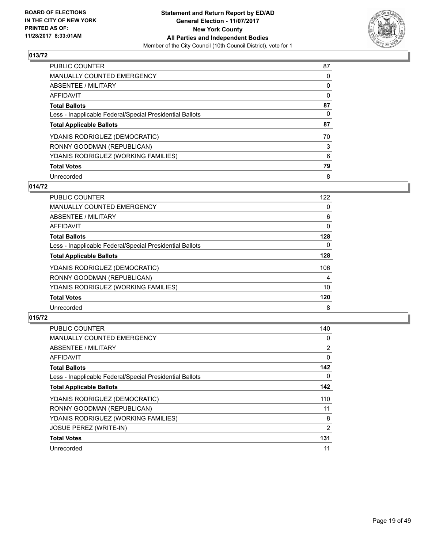

| <b>PUBLIC COUNTER</b>                                    | 87 |
|----------------------------------------------------------|----|
| <b>MANUALLY COUNTED EMERGENCY</b>                        | 0  |
| ABSENTEE / MILITARY                                      | 0  |
| AFFIDAVIT                                                | 0  |
| <b>Total Ballots</b>                                     | 87 |
| Less - Inapplicable Federal/Special Presidential Ballots | 0  |
| <b>Total Applicable Ballots</b>                          | 87 |
| YDANIS RODRIGUEZ (DEMOCRATIC)                            | 70 |
| RONNY GOODMAN (REPUBLICAN)                               | 3  |
| YDANIS RODRIGUEZ (WORKING FAMILIES)                      | 6  |
| <b>Total Votes</b>                                       | 79 |
| Unrecorded                                               | 8  |

## **014/72**

| <b>PUBLIC COUNTER</b>                                    | 122 |
|----------------------------------------------------------|-----|
| <b>MANUALLY COUNTED EMERGENCY</b>                        | 0   |
| ABSENTEE / MILITARY                                      | 6   |
| <b>AFFIDAVIT</b>                                         | 0   |
| <b>Total Ballots</b>                                     | 128 |
| Less - Inapplicable Federal/Special Presidential Ballots | 0   |
| <b>Total Applicable Ballots</b>                          | 128 |
| YDANIS RODRIGUEZ (DEMOCRATIC)                            | 106 |
| RONNY GOODMAN (REPUBLICAN)                               | 4   |
| YDANIS RODRIGUEZ (WORKING FAMILIES)                      | 10  |
| <b>Total Votes</b>                                       | 120 |
| Unrecorded                                               | 8   |

| <b>PUBLIC COUNTER</b>                                    | 140            |
|----------------------------------------------------------|----------------|
| MANUALLY COUNTED EMERGENCY                               | 0              |
| ABSENTEE / MILITARY                                      | 2              |
| AFFIDAVIT                                                | 0              |
| <b>Total Ballots</b>                                     | 142            |
| Less - Inapplicable Federal/Special Presidential Ballots | 0              |
| <b>Total Applicable Ballots</b>                          | 142            |
| YDANIS RODRIGUEZ (DEMOCRATIC)                            | 110            |
| RONNY GOODMAN (REPUBLICAN)                               | 11             |
| YDANIS RODRIGUEZ (WORKING FAMILIES)                      | 8              |
| <b>JOSUE PEREZ (WRITE-IN)</b>                            | $\overline{2}$ |
| <b>Total Votes</b>                                       | 131            |
| Unrecorded                                               | 11             |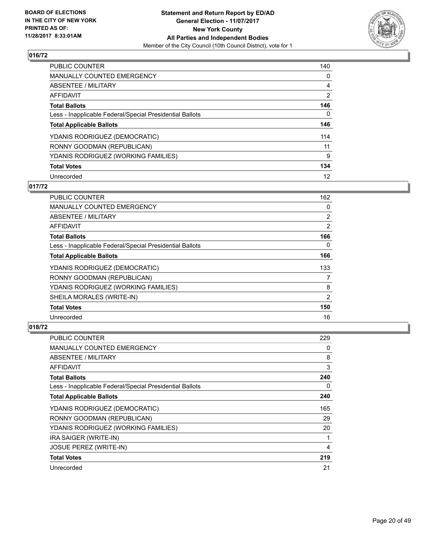

| <b>PUBLIC COUNTER</b>                                    | 140            |
|----------------------------------------------------------|----------------|
| <b>MANUALLY COUNTED EMERGENCY</b>                        | 0              |
| ABSENTEE / MILITARY                                      | 4              |
| AFFIDAVIT                                                | $\overline{2}$ |
| <b>Total Ballots</b>                                     | 146            |
| Less - Inapplicable Federal/Special Presidential Ballots | 0              |
| <b>Total Applicable Ballots</b>                          | 146            |
| YDANIS RODRIGUEZ (DEMOCRATIC)                            | 114            |
| RONNY GOODMAN (REPUBLICAN)                               | 11             |
| YDANIS RODRIGUEZ (WORKING FAMILIES)                      | 9              |
| <b>Total Votes</b>                                       | 134            |
| Unrecorded                                               | 12             |

# **017/72**

| <b>PUBLIC COUNTER</b>                                    | 162            |
|----------------------------------------------------------|----------------|
| <b>MANUALLY COUNTED EMERGENCY</b>                        | 0              |
| ABSENTEE / MILITARY                                      | $\overline{2}$ |
| AFFIDAVIT                                                | $\overline{2}$ |
| <b>Total Ballots</b>                                     | 166            |
| Less - Inapplicable Federal/Special Presidential Ballots | 0              |
| <b>Total Applicable Ballots</b>                          | 166            |
| YDANIS RODRIGUEZ (DEMOCRATIC)                            | 133            |
| RONNY GOODMAN (REPUBLICAN)                               | 7              |
| YDANIS RODRIGUEZ (WORKING FAMILIES)                      | 8              |
| SHEILA MORALES (WRITE-IN)                                | 2              |
| <b>Total Votes</b>                                       | 150            |
| Unrecorded                                               | 16             |

| <b>PUBLIC COUNTER</b>                                    | 229 |
|----------------------------------------------------------|-----|
| <b>MANUALLY COUNTED EMERGENCY</b>                        | 0   |
| ABSENTEE / MILITARY                                      | 8   |
| AFFIDAVIT                                                | 3   |
| <b>Total Ballots</b>                                     | 240 |
| Less - Inapplicable Federal/Special Presidential Ballots | 0   |
| <b>Total Applicable Ballots</b>                          | 240 |
| YDANIS RODRIGUEZ (DEMOCRATIC)                            | 165 |
| RONNY GOODMAN (REPUBLICAN)                               | 29  |
| YDANIS RODRIGUEZ (WORKING FAMILIES)                      | 20  |
| IRA SAIGER (WRITE-IN)                                    | 1   |
| <b>JOSUE PEREZ (WRITE-IN)</b>                            | 4   |
| <b>Total Votes</b>                                       | 219 |
| Unrecorded                                               | 21  |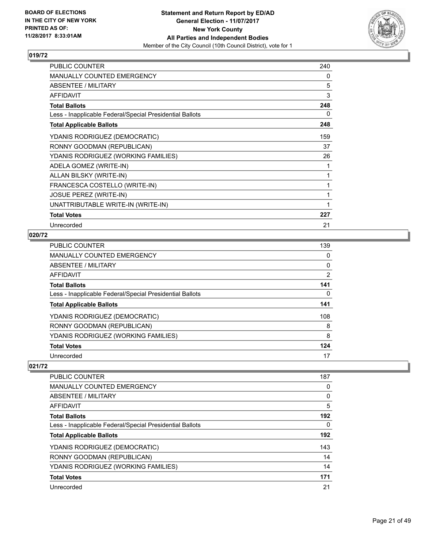

| <b>PUBLIC COUNTER</b>                                    | 240 |
|----------------------------------------------------------|-----|
| <b>MANUALLY COUNTED EMERGENCY</b>                        | 0   |
| <b>ABSENTEE / MILITARY</b>                               | 5   |
| <b>AFFIDAVIT</b>                                         | 3   |
| <b>Total Ballots</b>                                     | 248 |
| Less - Inapplicable Federal/Special Presidential Ballots | 0   |
| <b>Total Applicable Ballots</b>                          | 248 |
| YDANIS RODRIGUEZ (DEMOCRATIC)                            | 159 |
| RONNY GOODMAN (REPUBLICAN)                               | 37  |
| YDANIS RODRIGUEZ (WORKING FAMILIES)                      | 26  |
| ADELA GOMEZ (WRITE-IN)                                   | 1   |
| ALLAN BILSKY (WRITE-IN)                                  | 1   |
| FRANCESCA COSTELLO (WRITE-IN)                            | 1   |
| JOSUE PEREZ (WRITE-IN)                                   | 1   |
| UNATTRIBUTABLE WRITE-IN (WRITE-IN)                       | 1   |
| <b>Total Votes</b>                                       | 227 |
| Unrecorded                                               | 21  |

## **020/72**

| <b>PUBLIC COUNTER</b>                                    | 139            |
|----------------------------------------------------------|----------------|
| <b>MANUALLY COUNTED EMERGENCY</b>                        | 0              |
| <b>ABSENTEE / MILITARY</b>                               | 0              |
| AFFIDAVIT                                                | $\overline{2}$ |
| <b>Total Ballots</b>                                     | 141            |
| Less - Inapplicable Federal/Special Presidential Ballots | 0              |
| <b>Total Applicable Ballots</b>                          | 141            |
| YDANIS RODRIGUEZ (DEMOCRATIC)                            | 108            |
| RONNY GOODMAN (REPUBLICAN)                               | 8              |
| YDANIS RODRIGUEZ (WORKING FAMILIES)                      | 8              |
| <b>Total Votes</b>                                       | 124            |
| Unrecorded                                               | 17             |

| PUBLIC COUNTER                                           | 187 |
|----------------------------------------------------------|-----|
| MANUALLY COUNTED EMERGENCY                               | 0   |
| ABSENTEE / MILITARY                                      | 0   |
| AFFIDAVIT                                                | 5   |
| <b>Total Ballots</b>                                     | 192 |
| Less - Inapplicable Federal/Special Presidential Ballots | 0   |
| <b>Total Applicable Ballots</b>                          | 192 |
| YDANIS RODRIGUEZ (DEMOCRATIC)                            | 143 |
| RONNY GOODMAN (REPUBLICAN)                               | 14  |
| YDANIS RODRIGUEZ (WORKING FAMILIES)                      | 14  |
| <b>Total Votes</b>                                       | 171 |
| Unrecorded                                               | 21  |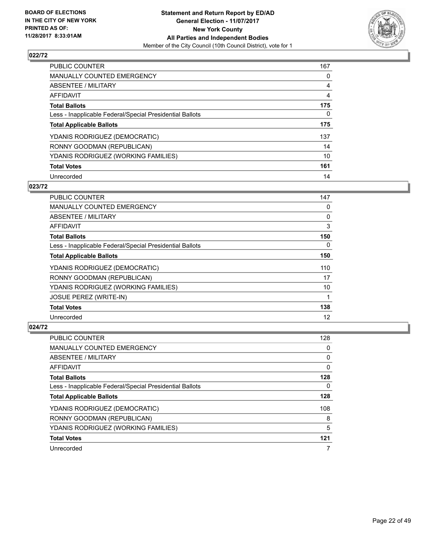

| PUBLIC COUNTER                                           | 167 |
|----------------------------------------------------------|-----|
| <b>MANUALLY COUNTED EMERGENCY</b>                        | 0   |
| ABSENTEE / MILITARY                                      | 4   |
| AFFIDAVIT                                                | 4   |
| <b>Total Ballots</b>                                     | 175 |
| Less - Inapplicable Federal/Special Presidential Ballots | 0   |
| <b>Total Applicable Ballots</b>                          | 175 |
| YDANIS RODRIGUEZ (DEMOCRATIC)                            | 137 |
| RONNY GOODMAN (REPUBLICAN)                               | 14  |
| YDANIS RODRIGUEZ (WORKING FAMILIES)                      | 10  |
| <b>Total Votes</b>                                       | 161 |
| Unrecorded                                               | 14  |

#### **023/72**

| <b>PUBLIC COUNTER</b>                                    | 147 |
|----------------------------------------------------------|-----|
| <b>MANUALLY COUNTED EMERGENCY</b>                        | 0   |
| ABSENTEE / MILITARY                                      | 0   |
| <b>AFFIDAVIT</b>                                         | 3   |
| <b>Total Ballots</b>                                     | 150 |
| Less - Inapplicable Federal/Special Presidential Ballots | 0   |
| <b>Total Applicable Ballots</b>                          | 150 |
| YDANIS RODRIGUEZ (DEMOCRATIC)                            | 110 |
| RONNY GOODMAN (REPUBLICAN)                               | 17  |
| YDANIS RODRIGUEZ (WORKING FAMILIES)                      | 10  |
| <b>JOSUE PEREZ (WRITE-IN)</b>                            | 1   |
| <b>Total Votes</b>                                       | 138 |
| Unrecorded                                               | 12  |

| PUBLIC COUNTER                                           | 128 |
|----------------------------------------------------------|-----|
| <b>MANUALLY COUNTED EMERGENCY</b>                        | 0   |
| ABSENTEE / MILITARY                                      | 0   |
| AFFIDAVIT                                                | 0   |
| <b>Total Ballots</b>                                     | 128 |
| Less - Inapplicable Federal/Special Presidential Ballots | 0   |
| <b>Total Applicable Ballots</b>                          | 128 |
| YDANIS RODRIGUEZ (DEMOCRATIC)                            | 108 |
| RONNY GOODMAN (REPUBLICAN)                               | 8   |
| YDANIS RODRIGUEZ (WORKING FAMILIES)                      | 5   |
| <b>Total Votes</b>                                       | 121 |
| Unrecorded                                               | 7   |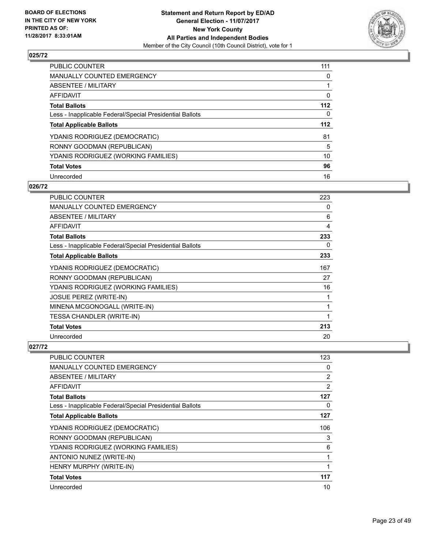

| PUBLIC COUNTER                                           | 111 |
|----------------------------------------------------------|-----|
| <b>MANUALLY COUNTED EMERGENCY</b>                        | 0   |
| ABSENTEE / MILITARY                                      |     |
| AFFIDAVIT                                                | 0   |
| <b>Total Ballots</b>                                     | 112 |
| Less - Inapplicable Federal/Special Presidential Ballots | 0   |
| <b>Total Applicable Ballots</b>                          | 112 |
| YDANIS RODRIGUEZ (DEMOCRATIC)                            | 81  |
| RONNY GOODMAN (REPUBLICAN)                               | 5   |
| YDANIS RODRIGUEZ (WORKING FAMILIES)                      | 10  |
| <b>Total Votes</b>                                       | 96  |
| Unrecorded                                               | 16  |

## **026/72**

| PUBLIC COUNTER                                           | 223 |
|----------------------------------------------------------|-----|
| <b>MANUALLY COUNTED EMERGENCY</b>                        | 0   |
| ABSENTEE / MILITARY                                      | 6   |
| AFFIDAVIT                                                | 4   |
| <b>Total Ballots</b>                                     | 233 |
| Less - Inapplicable Federal/Special Presidential Ballots | 0   |
| <b>Total Applicable Ballots</b>                          | 233 |
| YDANIS RODRIGUEZ (DEMOCRATIC)                            | 167 |
| RONNY GOODMAN (REPUBLICAN)                               | 27  |
| YDANIS RODRIGUEZ (WORKING FAMILIES)                      | 16  |
| <b>JOSUE PEREZ (WRITE-IN)</b>                            | 1   |
| MINENA MCGONOGALL (WRITE-IN)                             | 1   |
| TESSA CHANDLER (WRITE-IN)                                | 1   |
| <b>Total Votes</b>                                       | 213 |
| Unrecorded                                               | 20  |

| <b>PUBLIC COUNTER</b>                                    | 123            |
|----------------------------------------------------------|----------------|
| <b>MANUALLY COUNTED EMERGENCY</b>                        | 0              |
| ABSENTEE / MILITARY                                      | $\overline{2}$ |
| AFFIDAVIT                                                | 2              |
| <b>Total Ballots</b>                                     | 127            |
| Less - Inapplicable Federal/Special Presidential Ballots | 0              |
| <b>Total Applicable Ballots</b>                          | 127            |
| YDANIS RODRIGUEZ (DEMOCRATIC)                            | 106            |
| RONNY GOODMAN (REPUBLICAN)                               | 3              |
| YDANIS RODRIGUEZ (WORKING FAMILIES)                      | 6              |
| ANTONIO NUNEZ (WRITE-IN)                                 |                |
| HENRY MURPHY (WRITE-IN)                                  |                |
| <b>Total Votes</b>                                       | 117            |
| Unrecorded                                               | 10             |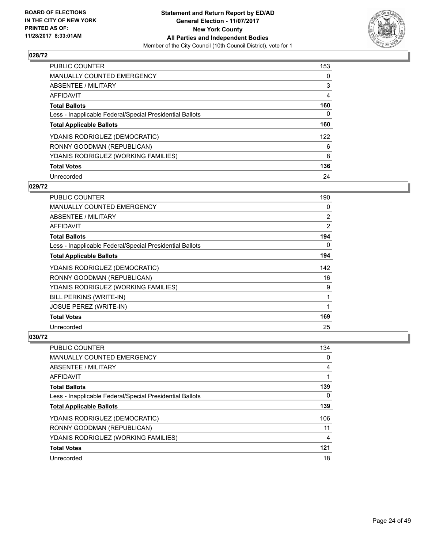

| <b>PUBLIC COUNTER</b>                                    | 153 |
|----------------------------------------------------------|-----|
| <b>MANUALLY COUNTED EMERGENCY</b>                        | 0   |
| ABSENTEE / MILITARY                                      | 3   |
| AFFIDAVIT                                                | 4   |
| <b>Total Ballots</b>                                     | 160 |
| Less - Inapplicable Federal/Special Presidential Ballots | 0   |
| <b>Total Applicable Ballots</b>                          | 160 |
| YDANIS RODRIGUEZ (DEMOCRATIC)                            | 122 |
| RONNY GOODMAN (REPUBLICAN)                               | 6   |
| YDANIS RODRIGUEZ (WORKING FAMILIES)                      | 8   |
| <b>Total Votes</b>                                       | 136 |
| Unrecorded                                               | 24  |

#### **029/72**

| <b>PUBLIC COUNTER</b>                                    | 190 |
|----------------------------------------------------------|-----|
| <b>MANUALLY COUNTED EMERGENCY</b>                        | 0   |
| ABSENTEE / MILITARY                                      | 2   |
| AFFIDAVIT                                                | 2   |
| <b>Total Ballots</b>                                     | 194 |
| Less - Inapplicable Federal/Special Presidential Ballots | 0   |
| <b>Total Applicable Ballots</b>                          | 194 |
| YDANIS RODRIGUEZ (DEMOCRATIC)                            | 142 |
| RONNY GOODMAN (REPUBLICAN)                               | 16  |
| YDANIS RODRIGUEZ (WORKING FAMILIES)                      | 9   |
| BILL PERKINS (WRITE-IN)                                  | 1   |
| <b>JOSUE PEREZ (WRITE-IN)</b>                            |     |
| <b>Total Votes</b>                                       | 169 |
| Unrecorded                                               | 25  |

| <b>PUBLIC COUNTER</b>                                    | 134 |
|----------------------------------------------------------|-----|
| <b>MANUALLY COUNTED EMERGENCY</b>                        | 0   |
| ABSENTEE / MILITARY                                      | 4   |
| AFFIDAVIT                                                |     |
| <b>Total Ballots</b>                                     | 139 |
| Less - Inapplicable Federal/Special Presidential Ballots | 0   |
| <b>Total Applicable Ballots</b>                          | 139 |
| YDANIS RODRIGUEZ (DEMOCRATIC)                            | 106 |
| RONNY GOODMAN (REPUBLICAN)                               | 11  |
| YDANIS RODRIGUEZ (WORKING FAMILIES)                      | 4   |
| <b>Total Votes</b>                                       | 121 |
| Unrecorded                                               | 18  |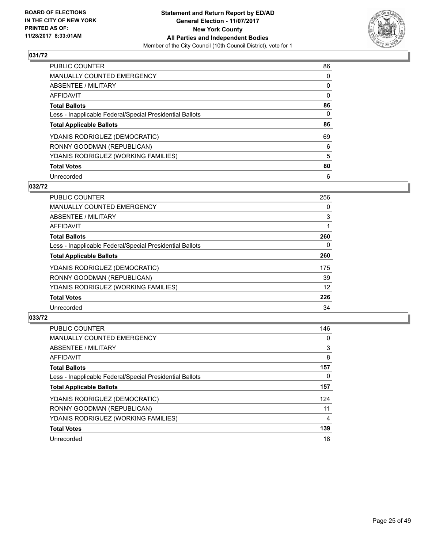

| <b>PUBLIC COUNTER</b>                                    | 86 |
|----------------------------------------------------------|----|
| <b>MANUALLY COUNTED EMERGENCY</b>                        | 0  |
| ABSENTEE / MILITARY                                      | 0  |
| AFFIDAVIT                                                | 0  |
| <b>Total Ballots</b>                                     | 86 |
| Less - Inapplicable Federal/Special Presidential Ballots | 0  |
| <b>Total Applicable Ballots</b>                          | 86 |
| YDANIS RODRIGUEZ (DEMOCRATIC)                            | 69 |
| RONNY GOODMAN (REPUBLICAN)                               | 6  |
| YDANIS RODRIGUEZ (WORKING FAMILIES)                      | 5  |
| <b>Total Votes</b>                                       | 80 |
| Unrecorded                                               | 6  |

#### **032/72**

| <b>PUBLIC COUNTER</b>                                    | 256 |
|----------------------------------------------------------|-----|
| <b>MANUALLY COUNTED EMERGENCY</b>                        | 0   |
| ABSENTEE / MILITARY                                      | 3   |
| <b>AFFIDAVIT</b>                                         |     |
| <b>Total Ballots</b>                                     | 260 |
| Less - Inapplicable Federal/Special Presidential Ballots | 0   |
| <b>Total Applicable Ballots</b>                          | 260 |
| YDANIS RODRIGUEZ (DEMOCRATIC)                            | 175 |
| RONNY GOODMAN (REPUBLICAN)                               | 39  |
| YDANIS RODRIGUEZ (WORKING FAMILIES)                      | 12  |
| <b>Total Votes</b>                                       | 226 |
| Unrecorded                                               | 34  |

| <b>PUBLIC COUNTER</b>                                    | 146 |
|----------------------------------------------------------|-----|
| <b>MANUALLY COUNTED EMERGENCY</b>                        | 0   |
| ABSENTEE / MILITARY                                      | 3   |
| AFFIDAVIT                                                | 8   |
| <b>Total Ballots</b>                                     | 157 |
| Less - Inapplicable Federal/Special Presidential Ballots | 0   |
| <b>Total Applicable Ballots</b>                          | 157 |
| YDANIS RODRIGUEZ (DEMOCRATIC)                            | 124 |
| RONNY GOODMAN (REPUBLICAN)                               | 11  |
| YDANIS RODRIGUEZ (WORKING FAMILIES)                      | 4   |
| <b>Total Votes</b>                                       | 139 |
| Unrecorded                                               | 18  |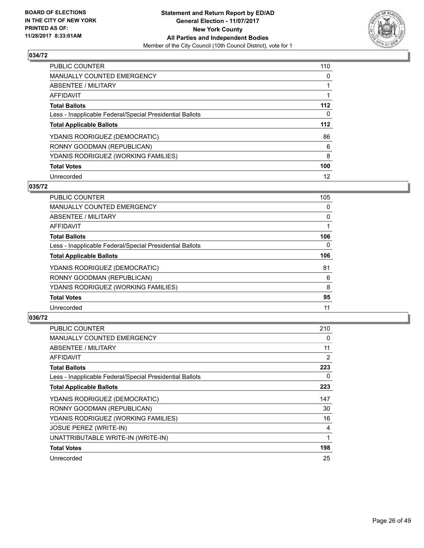

| <b>PUBLIC COUNTER</b>                                    | 110 |
|----------------------------------------------------------|-----|
| <b>MANUALLY COUNTED EMERGENCY</b>                        | 0   |
| ABSENTEE / MILITARY                                      |     |
| AFFIDAVIT                                                |     |
| <b>Total Ballots</b>                                     | 112 |
| Less - Inapplicable Federal/Special Presidential Ballots | 0   |
| <b>Total Applicable Ballots</b>                          | 112 |
| YDANIS RODRIGUEZ (DEMOCRATIC)                            | 86  |
| RONNY GOODMAN (REPUBLICAN)                               | 6   |
| YDANIS RODRIGUEZ (WORKING FAMILIES)                      | 8   |
| <b>Total Votes</b>                                       | 100 |
| Unrecorded                                               | 12  |

## **035/72**

| <b>PUBLIC COUNTER</b>                                    | 105      |
|----------------------------------------------------------|----------|
| <b>MANUALLY COUNTED EMERGENCY</b>                        | 0        |
| ABSENTEE / MILITARY                                      | 0        |
| <b>AFFIDAVIT</b>                                         |          |
| <b>Total Ballots</b>                                     | 106      |
| Less - Inapplicable Federal/Special Presidential Ballots | $\Omega$ |
| <b>Total Applicable Ballots</b>                          | 106      |
| YDANIS RODRIGUEZ (DEMOCRATIC)                            | 81       |
| RONNY GOODMAN (REPUBLICAN)                               | 6        |
| YDANIS RODRIGUEZ (WORKING FAMILIES)                      | 8        |
| <b>Total Votes</b>                                       | 95       |
| Unrecorded                                               | 11       |

| <b>PUBLIC COUNTER</b>                                    | 210 |
|----------------------------------------------------------|-----|
| <b>MANUALLY COUNTED EMERGENCY</b>                        | 0   |
| ABSENTEE / MILITARY                                      | 11  |
| AFFIDAVIT                                                | 2   |
| <b>Total Ballots</b>                                     | 223 |
| Less - Inapplicable Federal/Special Presidential Ballots | 0   |
| <b>Total Applicable Ballots</b>                          | 223 |
| YDANIS RODRIGUEZ (DEMOCRATIC)                            | 147 |
| RONNY GOODMAN (REPUBLICAN)                               | 30  |
| YDANIS RODRIGUEZ (WORKING FAMILIES)                      | 16  |
| <b>JOSUE PEREZ (WRITE-IN)</b>                            | 4   |
| UNATTRIBUTABLE WRITE-IN (WRITE-IN)                       | 1   |
| <b>Total Votes</b>                                       | 198 |
| Unrecorded                                               | 25  |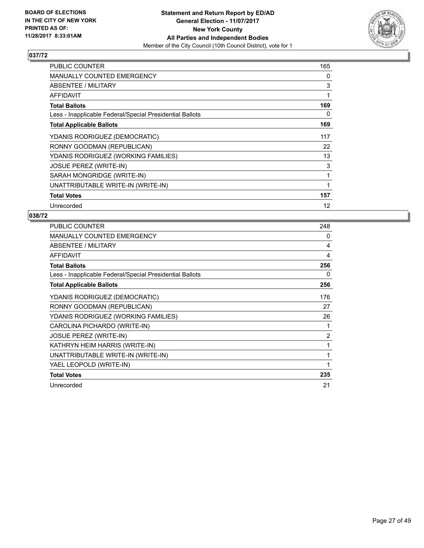

| PUBLIC COUNTER                                           | 165 |
|----------------------------------------------------------|-----|
| <b>MANUALLY COUNTED EMERGENCY</b>                        | 0   |
| ABSENTEE / MILITARY                                      | 3   |
| AFFIDAVIT                                                | 1   |
| <b>Total Ballots</b>                                     | 169 |
| Less - Inapplicable Federal/Special Presidential Ballots | 0   |
| <b>Total Applicable Ballots</b>                          | 169 |
| YDANIS RODRIGUEZ (DEMOCRATIC)                            | 117 |
| RONNY GOODMAN (REPUBLICAN)                               | 22  |
| YDANIS RODRIGUEZ (WORKING FAMILIES)                      | 13  |
| <b>JOSUE PEREZ (WRITE-IN)</b>                            | 3   |
| SARAH MONGRIDGE (WRITE-IN)                               | 1   |
| UNATTRIBUTABLE WRITE-IN (WRITE-IN)                       | 1   |
| <b>Total Votes</b>                                       | 157 |
| Unrecorded                                               | 12  |

| PUBLIC COUNTER                                           | 248            |
|----------------------------------------------------------|----------------|
| <b>MANUALLY COUNTED EMERGENCY</b>                        | 0              |
| ABSENTEE / MILITARY                                      | 4              |
| <b>AFFIDAVIT</b>                                         | 4              |
| <b>Total Ballots</b>                                     | 256            |
| Less - Inapplicable Federal/Special Presidential Ballots | 0              |
| <b>Total Applicable Ballots</b>                          | 256            |
| YDANIS RODRIGUEZ (DEMOCRATIC)                            | 176            |
| RONNY GOODMAN (REPUBLICAN)                               | 27             |
| YDANIS RODRIGUEZ (WORKING FAMILIES)                      | 26             |
| CAROLINA PICHARDO (WRITE-IN)                             | 1              |
| <b>JOSUE PEREZ (WRITE-IN)</b>                            | $\overline{2}$ |
| KATHRYN HEIM HARRIS (WRITE-IN)                           | 1              |
| UNATTRIBUTABLE WRITE-IN (WRITE-IN)                       | 1              |
| YAEL LEOPOLD (WRITE-IN)                                  | 1              |
| <b>Total Votes</b>                                       | 235            |
| Unrecorded                                               | 21             |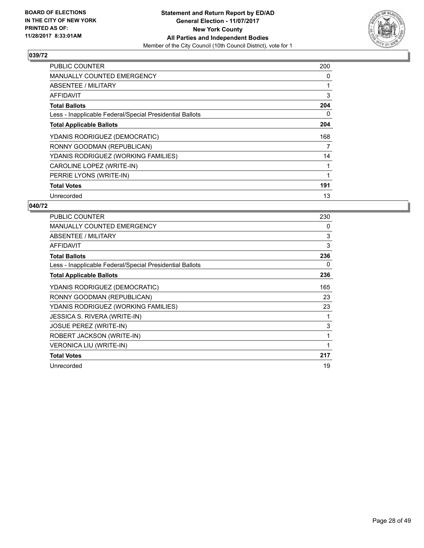

| <b>PUBLIC COUNTER</b>                                    | 200 |
|----------------------------------------------------------|-----|
| <b>MANUALLY COUNTED EMERGENCY</b>                        | 0   |
| <b>ABSENTEE / MILITARY</b>                               |     |
| AFFIDAVIT                                                | 3   |
| <b>Total Ballots</b>                                     | 204 |
| Less - Inapplicable Federal/Special Presidential Ballots | 0   |
| <b>Total Applicable Ballots</b>                          | 204 |
| YDANIS RODRIGUEZ (DEMOCRATIC)                            | 168 |
| RONNY GOODMAN (REPUBLICAN)                               | 7   |
| YDANIS RODRIGUEZ (WORKING FAMILIES)                      | 14  |
| CAROLINE LOPEZ (WRITE-IN)                                |     |
| PERRIE LYONS (WRITE-IN)                                  |     |
| <b>Total Votes</b>                                       | 191 |
| Unrecorded                                               | 13  |

| PUBLIC COUNTER                                           | 230 |
|----------------------------------------------------------|-----|
| <b>MANUALLY COUNTED EMERGENCY</b>                        | 0   |
| ABSENTEE / MILITARY                                      | 3   |
| <b>AFFIDAVIT</b>                                         | 3   |
| <b>Total Ballots</b>                                     | 236 |
| Less - Inapplicable Federal/Special Presidential Ballots | 0   |
| <b>Total Applicable Ballots</b>                          | 236 |
| YDANIS RODRIGUEZ (DEMOCRATIC)                            | 165 |
| RONNY GOODMAN (REPUBLICAN)                               | 23  |
| YDANIS RODRIGUEZ (WORKING FAMILIES)                      | 23  |
| JESSICA S. RIVERA (WRITE-IN)                             | 1   |
| JOSUE PEREZ (WRITE-IN)                                   | 3   |
| ROBERT JACKSON (WRITE-IN)                                | 1   |
| <b>VERONICA LIU (WRITE-IN)</b>                           |     |
| <b>Total Votes</b>                                       | 217 |
| Unrecorded                                               | 19  |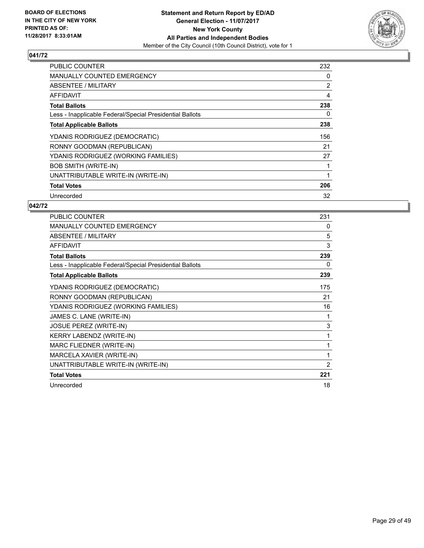

| <b>PUBLIC COUNTER</b>                                    | 232 |
|----------------------------------------------------------|-----|
| <b>MANUALLY COUNTED EMERGENCY</b>                        | 0   |
| <b>ABSENTEE / MILITARY</b>                               | 2   |
| AFFIDAVIT                                                | 4   |
| <b>Total Ballots</b>                                     | 238 |
| Less - Inapplicable Federal/Special Presidential Ballots | 0   |
| <b>Total Applicable Ballots</b>                          | 238 |
| YDANIS RODRIGUEZ (DEMOCRATIC)                            | 156 |
| RONNY GOODMAN (REPUBLICAN)                               | 21  |
| YDANIS RODRIGUEZ (WORKING FAMILIES)                      | 27  |
| <b>BOB SMITH (WRITE-IN)</b>                              |     |
| UNATTRIBUTABLE WRITE-IN (WRITE-IN)                       |     |
| <b>Total Votes</b>                                       | 206 |
| Unrecorded                                               | 32  |

| <b>PUBLIC COUNTER</b>                                    | 231            |
|----------------------------------------------------------|----------------|
| MANUALLY COUNTED EMERGENCY                               | 0              |
| <b>ABSENTEE / MILITARY</b>                               | 5              |
| <b>AFFIDAVIT</b>                                         | 3              |
| <b>Total Ballots</b>                                     | 239            |
| Less - Inapplicable Federal/Special Presidential Ballots | 0              |
| <b>Total Applicable Ballots</b>                          | 239            |
| YDANIS RODRIGUEZ (DEMOCRATIC)                            | 175            |
| RONNY GOODMAN (REPUBLICAN)                               | 21             |
| YDANIS RODRIGUEZ (WORKING FAMILIES)                      | 16             |
| JAMES C. LANE (WRITE-IN)                                 | 1              |
| JOSUE PEREZ (WRITE-IN)                                   | 3              |
| <b>KERRY LABENDZ (WRITE-IN)</b>                          | 1              |
| MARC FLIEDNER (WRITE-IN)                                 | 1              |
| MARCELA XAVIER (WRITE-IN)                                | 1              |
| UNATTRIBUTABLE WRITE-IN (WRITE-IN)                       | $\overline{2}$ |
| <b>Total Votes</b>                                       | 221            |
| Unrecorded                                               | 18             |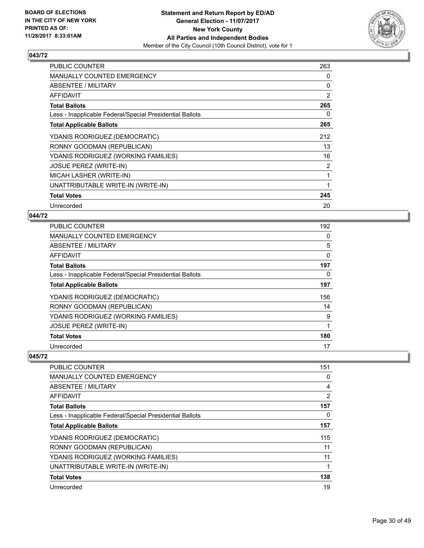

| <b>PUBLIC COUNTER</b>                                    | 263            |
|----------------------------------------------------------|----------------|
| MANUALLY COUNTED EMERGENCY                               | 0              |
| ABSENTEE / MILITARY                                      | 0              |
| AFFIDAVIT                                                | 2              |
| <b>Total Ballots</b>                                     | 265            |
| Less - Inapplicable Federal/Special Presidential Ballots | 0              |
| <b>Total Applicable Ballots</b>                          | 265            |
| YDANIS RODRIGUEZ (DEMOCRATIC)                            | 212            |
| RONNY GOODMAN (REPUBLICAN)                               | 13             |
| YDANIS RODRIGUEZ (WORKING FAMILIES)                      | 16             |
| <b>JOSUE PEREZ (WRITE-IN)</b>                            | $\overline{2}$ |
| MICAH LASHER (WRITE-IN)                                  | 1              |
| UNATTRIBUTABLE WRITE-IN (WRITE-IN)                       | 1              |
| <b>Total Votes</b>                                       | 245            |
| Unrecorded                                               | 20             |

## **044/72**

| <b>PUBLIC COUNTER</b>                                    | 192 |
|----------------------------------------------------------|-----|
| <b>MANUALLY COUNTED EMERGENCY</b>                        | 0   |
| ABSENTEE / MILITARY                                      | 5   |
| <b>AFFIDAVIT</b>                                         | 0   |
| <b>Total Ballots</b>                                     | 197 |
| Less - Inapplicable Federal/Special Presidential Ballots | 0   |
| <b>Total Applicable Ballots</b>                          | 197 |
| YDANIS RODRIGUEZ (DEMOCRATIC)                            | 156 |
| RONNY GOODMAN (REPUBLICAN)                               | 14  |
| YDANIS RODRIGUEZ (WORKING FAMILIES)                      | 9   |
| <b>JOSUE PEREZ (WRITE-IN)</b>                            | 1   |
| <b>Total Votes</b>                                       | 180 |
| Unrecorded                                               | 17  |

| <b>PUBLIC COUNTER</b>                                    | 151            |
|----------------------------------------------------------|----------------|
| <b>MANUALLY COUNTED EMERGENCY</b>                        | 0              |
| ABSENTEE / MILITARY                                      | 4              |
| AFFIDAVIT                                                | $\overline{2}$ |
| <b>Total Ballots</b>                                     | 157            |
| Less - Inapplicable Federal/Special Presidential Ballots | 0              |
| <b>Total Applicable Ballots</b>                          | 157            |
| YDANIS RODRIGUEZ (DEMOCRATIC)                            | 115            |
| RONNY GOODMAN (REPUBLICAN)                               | 11             |
| YDANIS RODRIGUEZ (WORKING FAMILIES)                      | 11             |
| UNATTRIBUTABLE WRITE-IN (WRITE-IN)                       | 1              |
| <b>Total Votes</b>                                       | 138            |
| Unrecorded                                               | 19             |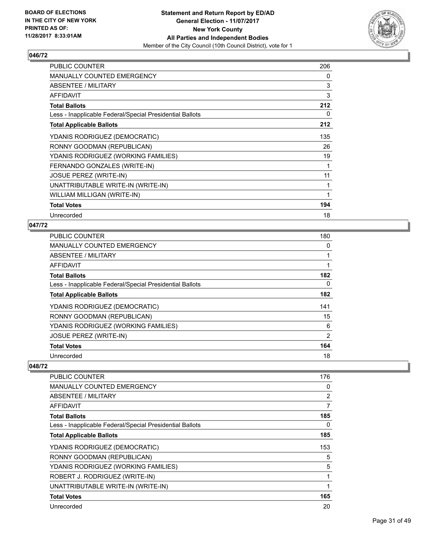

| PUBLIC COUNTER                                           | 206          |
|----------------------------------------------------------|--------------|
| <b>MANUALLY COUNTED EMERGENCY</b>                        | 0            |
| ABSENTEE / MILITARY                                      | 3            |
| AFFIDAVIT                                                | 3            |
| <b>Total Ballots</b>                                     | 212          |
| Less - Inapplicable Federal/Special Presidential Ballots | 0            |
| <b>Total Applicable Ballots</b>                          | 212          |
| YDANIS RODRIGUEZ (DEMOCRATIC)                            | 135          |
| RONNY GOODMAN (REPUBLICAN)                               | 26           |
| YDANIS RODRIGUEZ (WORKING FAMILIES)                      | 19           |
| FERNANDO GONZALES (WRITE-IN)                             | 1            |
| <b>JOSUE PEREZ (WRITE-IN)</b>                            | 11           |
| UNATTRIBUTABLE WRITE-IN (WRITE-IN)                       | 1            |
| WILLIAM MILLIGAN (WRITE-IN)                              | $\mathbf{1}$ |
| <b>Total Votes</b>                                       | 194          |
| Unrecorded                                               | 18           |

# **047/72**

| <b>PUBLIC COUNTER</b>                                    | 180            |
|----------------------------------------------------------|----------------|
| MANUALLY COUNTED EMERGENCY                               | 0              |
| ABSENTEE / MILITARY                                      |                |
| AFFIDAVIT                                                |                |
| <b>Total Ballots</b>                                     | 182            |
| Less - Inapplicable Federal/Special Presidential Ballots | 0              |
| <b>Total Applicable Ballots</b>                          | 182            |
| YDANIS RODRIGUEZ (DEMOCRATIC)                            | 141            |
| RONNY GOODMAN (REPUBLICAN)                               | 15             |
| YDANIS RODRIGUEZ (WORKING FAMILIES)                      | 6              |
| <b>JOSUE PEREZ (WRITE-IN)</b>                            | $\overline{2}$ |
| <b>Total Votes</b>                                       | 164            |
| Unrecorded                                               | 18             |

| PUBLIC COUNTER                                           | 176 |
|----------------------------------------------------------|-----|
| MANUALLY COUNTED EMERGENCY                               | 0   |
| ABSENTEE / MILITARY                                      | 2   |
| AFFIDAVIT                                                | 7   |
| <b>Total Ballots</b>                                     | 185 |
| Less - Inapplicable Federal/Special Presidential Ballots | 0   |
| <b>Total Applicable Ballots</b>                          | 185 |
| YDANIS RODRIGUEZ (DEMOCRATIC)                            | 153 |
| RONNY GOODMAN (REPUBLICAN)                               | 5   |
| YDANIS RODRIGUEZ (WORKING FAMILIES)                      | 5   |
| ROBERT J. RODRIGUEZ (WRITE-IN)                           | 1   |
| UNATTRIBUTABLE WRITE-IN (WRITE-IN)                       | 1   |
| <b>Total Votes</b>                                       | 165 |
| Unrecorded                                               | 20  |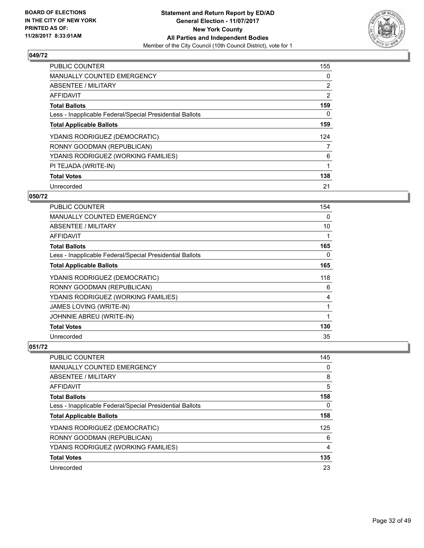

| <b>PUBLIC COUNTER</b>                                    | 155 |
|----------------------------------------------------------|-----|
| <b>MANUALLY COUNTED EMERGENCY</b>                        | 0   |
| ABSENTEE / MILITARY                                      | 2   |
| AFFIDAVIT                                                | 2   |
| <b>Total Ballots</b>                                     | 159 |
| Less - Inapplicable Federal/Special Presidential Ballots | 0   |
| <b>Total Applicable Ballots</b>                          | 159 |
| YDANIS RODRIGUEZ (DEMOCRATIC)                            | 124 |
| RONNY GOODMAN (REPUBLICAN)                               | 7   |
| YDANIS RODRIGUEZ (WORKING FAMILIES)                      | 6   |
| PI TEJADA (WRITE-IN)                                     | 1   |
| <b>Total Votes</b>                                       | 138 |
| Unrecorded                                               | 21  |

## **050/72**

| PUBLIC COUNTER                                           | 154 |
|----------------------------------------------------------|-----|
| <b>MANUALLY COUNTED EMERGENCY</b>                        | 0   |
| ABSENTEE / MILITARY                                      | 10  |
| AFFIDAVIT                                                |     |
| <b>Total Ballots</b>                                     | 165 |
| Less - Inapplicable Federal/Special Presidential Ballots | 0   |
| <b>Total Applicable Ballots</b>                          | 165 |
| YDANIS RODRIGUEZ (DEMOCRATIC)                            | 118 |
| RONNY GOODMAN (REPUBLICAN)                               | 6   |
| YDANIS RODRIGUEZ (WORKING FAMILIES)                      | 4   |
| <b>JAMES LOVING (WRITE-IN)</b>                           | 1   |
| JOHNNIE ABREU (WRITE-IN)                                 |     |
| <b>Total Votes</b>                                       | 130 |
| Unrecorded                                               | 35  |

| <b>PUBLIC COUNTER</b>                                    | 145 |
|----------------------------------------------------------|-----|
| <b>MANUALLY COUNTED EMERGENCY</b>                        | 0   |
| ABSENTEE / MILITARY                                      | 8   |
| <b>AFFIDAVIT</b>                                         | 5   |
| <b>Total Ballots</b>                                     | 158 |
| Less - Inapplicable Federal/Special Presidential Ballots | 0   |
| <b>Total Applicable Ballots</b>                          | 158 |
| YDANIS RODRIGUEZ (DEMOCRATIC)                            | 125 |
| RONNY GOODMAN (REPUBLICAN)                               | 6   |
| YDANIS RODRIGUEZ (WORKING FAMILIES)                      | 4   |
| <b>Total Votes</b>                                       | 135 |
| Unrecorded                                               | 23  |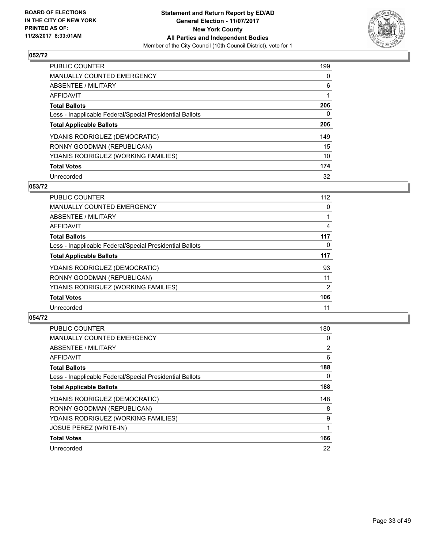

| <b>PUBLIC COUNTER</b>                                    | 199 |
|----------------------------------------------------------|-----|
| <b>MANUALLY COUNTED EMERGENCY</b>                        | 0   |
| ABSENTEE / MILITARY                                      | 6   |
| AFFIDAVIT                                                |     |
| <b>Total Ballots</b>                                     | 206 |
| Less - Inapplicable Federal/Special Presidential Ballots | 0   |
| <b>Total Applicable Ballots</b>                          | 206 |
| YDANIS RODRIGUEZ (DEMOCRATIC)                            | 149 |
| RONNY GOODMAN (REPUBLICAN)                               | 15  |
| YDANIS RODRIGUEZ (WORKING FAMILIES)                      | 10  |
| <b>Total Votes</b>                                       | 174 |
| Unrecorded                                               | 32  |

#### **053/72**

| <b>PUBLIC COUNTER</b>                                    | 112      |
|----------------------------------------------------------|----------|
| <b>MANUALLY COUNTED EMERGENCY</b>                        | 0        |
| ABSENTEE / MILITARY                                      |          |
| <b>AFFIDAVIT</b>                                         | 4        |
| <b>Total Ballots</b>                                     | 117      |
| Less - Inapplicable Federal/Special Presidential Ballots | $\Omega$ |
| <b>Total Applicable Ballots</b>                          | 117      |
| YDANIS RODRIGUEZ (DEMOCRATIC)                            | 93       |
| RONNY GOODMAN (REPUBLICAN)                               | 11       |
| YDANIS RODRIGUEZ (WORKING FAMILIES)                      | 2        |
| <b>Total Votes</b>                                       | 106      |
| Unrecorded                                               | 11       |

| <b>PUBLIC COUNTER</b>                                    | 180            |
|----------------------------------------------------------|----------------|
| <b>MANUALLY COUNTED EMERGENCY</b>                        | 0              |
| ABSENTEE / MILITARY                                      | $\overline{2}$ |
| <b>AFFIDAVIT</b>                                         | 6              |
| <b>Total Ballots</b>                                     | 188            |
| Less - Inapplicable Federal/Special Presidential Ballots | 0              |
| <b>Total Applicable Ballots</b>                          | 188            |
| YDANIS RODRIGUEZ (DEMOCRATIC)                            | 148            |
| RONNY GOODMAN (REPUBLICAN)                               | 8              |
| YDANIS RODRIGUEZ (WORKING FAMILIES)                      | 9              |
| <b>JOSUE PEREZ (WRITE-IN)</b>                            |                |
| <b>Total Votes</b>                                       | 166            |
| Unrecorded                                               | 22             |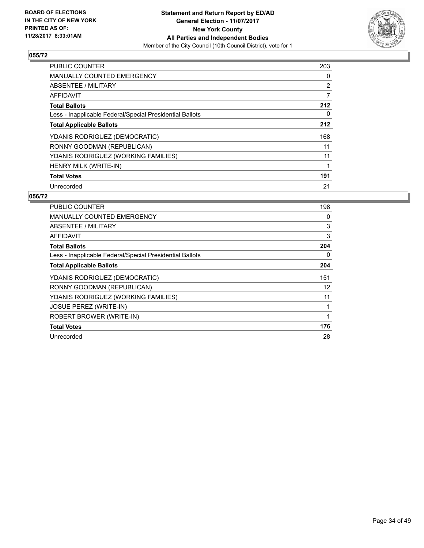

| <b>PUBLIC COUNTER</b>                                    | 203 |
|----------------------------------------------------------|-----|
| <b>MANUALLY COUNTED EMERGENCY</b>                        | 0   |
| ABSENTEE / MILITARY                                      | 2   |
| <b>AFFIDAVIT</b>                                         | 7   |
| <b>Total Ballots</b>                                     | 212 |
| Less - Inapplicable Federal/Special Presidential Ballots | 0   |
| <b>Total Applicable Ballots</b>                          | 212 |
| YDANIS RODRIGUEZ (DEMOCRATIC)                            | 168 |
| RONNY GOODMAN (REPUBLICAN)                               | 11  |
| YDANIS RODRIGUEZ (WORKING FAMILIES)                      | 11  |
| <b>HENRY MILK (WRITE-IN)</b>                             | 1   |
| <b>Total Votes</b>                                       | 191 |
| Unrecorded                                               | 21  |

| PUBLIC COUNTER                                           | 198 |
|----------------------------------------------------------|-----|
| <b>MANUALLY COUNTED EMERGENCY</b>                        | 0   |
| ABSENTEE / MILITARY                                      | 3   |
| <b>AFFIDAVIT</b>                                         | 3   |
| <b>Total Ballots</b>                                     | 204 |
| Less - Inapplicable Federal/Special Presidential Ballots | 0   |
| <b>Total Applicable Ballots</b>                          | 204 |
| YDANIS RODRIGUEZ (DEMOCRATIC)                            | 151 |
| RONNY GOODMAN (REPUBLICAN)                               | 12  |
| YDANIS RODRIGUEZ (WORKING FAMILIES)                      | 11  |
| <b>JOSUE PEREZ (WRITE-IN)</b>                            | 1   |
| ROBERT BROWER (WRITE-IN)                                 | 1   |
| <b>Total Votes</b>                                       | 176 |
| Unrecorded                                               | 28  |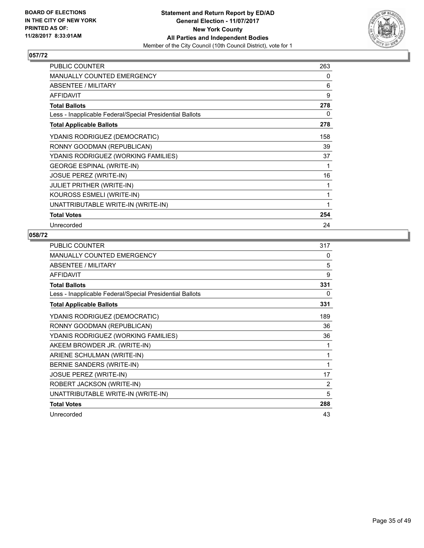

| <b>PUBLIC COUNTER</b>                                    | 263 |
|----------------------------------------------------------|-----|
| MANUALLY COUNTED EMERGENCY                               | 0   |
| <b>ABSENTEE / MILITARY</b>                               | 6   |
| <b>AFFIDAVIT</b>                                         | 9   |
| <b>Total Ballots</b>                                     | 278 |
| Less - Inapplicable Federal/Special Presidential Ballots | 0   |
| <b>Total Applicable Ballots</b>                          | 278 |
| YDANIS RODRIGUEZ (DEMOCRATIC)                            | 158 |
| RONNY GOODMAN (REPUBLICAN)                               | 39  |
| YDANIS RODRIGUEZ (WORKING FAMILIES)                      | 37  |
| <b>GEORGE ESPINAL (WRITE-IN)</b>                         | 1   |
| <b>JOSUE PEREZ (WRITE-IN)</b>                            | 16  |
| <b>JULIET PRITHER (WRITE-IN)</b>                         | 1   |
| KOUROSS ESMELI (WRITE-IN)                                | 1   |
| UNATTRIBUTABLE WRITE-IN (WRITE-IN)                       | 1   |
| <b>Total Votes</b>                                       | 254 |
| Unrecorded                                               | 24  |

| <b>PUBLIC COUNTER</b>                                    | 317 |
|----------------------------------------------------------|-----|
| <b>MANUALLY COUNTED EMERGENCY</b>                        | 0   |
| <b>ABSENTEE / MILITARY</b>                               | 5   |
| <b>AFFIDAVIT</b>                                         | 9   |
| <b>Total Ballots</b>                                     | 331 |
| Less - Inapplicable Federal/Special Presidential Ballots | 0   |
| <b>Total Applicable Ballots</b>                          | 331 |
| YDANIS RODRIGUEZ (DEMOCRATIC)                            | 189 |
| RONNY GOODMAN (REPUBLICAN)                               | 36  |
| YDANIS RODRIGUEZ (WORKING FAMILIES)                      | 36  |
| AKEEM BROWDER JR. (WRITE-IN)                             | 1   |
| ARIENE SCHULMAN (WRITE-IN)                               | 1   |
| BERNIE SANDERS (WRITE-IN)                                | 1   |
| <b>JOSUE PEREZ (WRITE-IN)</b>                            | 17  |
| ROBERT JACKSON (WRITE-IN)                                | 2   |
| UNATTRIBUTABLE WRITE-IN (WRITE-IN)                       | 5   |
| <b>Total Votes</b>                                       | 288 |
| Unrecorded                                               | 43  |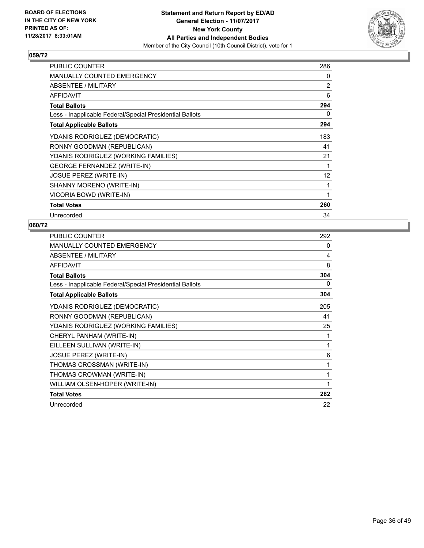

| <b>PUBLIC COUNTER</b>                                    | 286            |
|----------------------------------------------------------|----------------|
| <b>MANUALLY COUNTED EMERGENCY</b>                        | 0              |
| ABSENTEE / MILITARY                                      | $\overline{2}$ |
| <b>AFFIDAVIT</b>                                         | 6              |
| <b>Total Ballots</b>                                     | 294            |
| Less - Inapplicable Federal/Special Presidential Ballots | 0              |
| <b>Total Applicable Ballots</b>                          | 294            |
| YDANIS RODRIGUEZ (DEMOCRATIC)                            | 183            |
| RONNY GOODMAN (REPUBLICAN)                               | 41             |
| YDANIS RODRIGUEZ (WORKING FAMILIES)                      | 21             |
| <b>GEORGE FERNANDEZ (WRITE-IN)</b>                       |                |
| <b>JOSUE PEREZ (WRITE-IN)</b>                            | 12             |
| SHANNY MORENO (WRITE-IN)                                 | 1              |
| VICORIA BOWD (WRITE-IN)                                  |                |
| <b>Total Votes</b>                                       | 260            |
| Unrecorded                                               | 34             |

| <b>PUBLIC COUNTER</b>                                    | 292          |
|----------------------------------------------------------|--------------|
| <b>MANUALLY COUNTED EMERGENCY</b>                        | 0            |
| ABSENTEE / MILITARY                                      | 4            |
| <b>AFFIDAVIT</b>                                         | 8            |
| <b>Total Ballots</b>                                     | 304          |
| Less - Inapplicable Federal/Special Presidential Ballots | 0            |
| <b>Total Applicable Ballots</b>                          | 304          |
| YDANIS RODRIGUEZ (DEMOCRATIC)                            | 205          |
| RONNY GOODMAN (REPUBLICAN)                               | 41           |
| YDANIS RODRIGUEZ (WORKING FAMILIES)                      | 25           |
| CHERYL PANHAM (WRITE-IN)                                 | 1            |
| EILLEEN SULLIVAN (WRITE-IN)                              | $\mathbf{1}$ |
| <b>JOSUE PEREZ (WRITE-IN)</b>                            | 6            |
| THOMAS CROSSMAN (WRITE-IN)                               | 1            |
| THOMAS CROWMAN (WRITE-IN)                                | 1            |
| WILLIAM OLSEN-HOPER (WRITE-IN)                           | 1            |
| <b>Total Votes</b>                                       | 282          |
| Unrecorded                                               | 22           |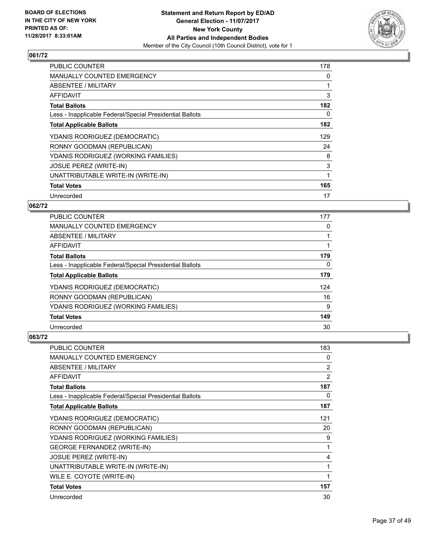

| <b>PUBLIC COUNTER</b>                                    | 178 |
|----------------------------------------------------------|-----|
| <b>MANUALLY COUNTED EMERGENCY</b>                        | 0   |
| <b>ABSENTEE / MILITARY</b>                               |     |
| AFFIDAVIT                                                | 3   |
| <b>Total Ballots</b>                                     | 182 |
| Less - Inapplicable Federal/Special Presidential Ballots | 0   |
| <b>Total Applicable Ballots</b>                          | 182 |
| YDANIS RODRIGUEZ (DEMOCRATIC)                            | 129 |
| RONNY GOODMAN (REPUBLICAN)                               | 24  |
| YDANIS RODRIGUEZ (WORKING FAMILIES)                      | 8   |
| <b>JOSUE PEREZ (WRITE-IN)</b>                            | 3   |
| UNATTRIBUTABLE WRITE-IN (WRITE-IN)                       | 1   |
| <b>Total Votes</b>                                       | 165 |
|                                                          |     |

# **062/72**

| <b>PUBLIC COUNTER</b>                                    | 177      |
|----------------------------------------------------------|----------|
| <b>MANUALLY COUNTED EMERGENCY</b>                        | 0        |
| ABSENTEE / MILITARY                                      |          |
| AFFIDAVIT                                                |          |
| <b>Total Ballots</b>                                     | 179      |
| Less - Inapplicable Federal/Special Presidential Ballots | $\Omega$ |
| <b>Total Applicable Ballots</b>                          | 179      |
| YDANIS RODRIGUEZ (DEMOCRATIC)                            | 124      |
| RONNY GOODMAN (REPUBLICAN)                               | 16       |
| YDANIS RODRIGUEZ (WORKING FAMILIES)                      | 9        |
| <b>Total Votes</b>                                       | 149      |
| Unrecorded                                               | 30       |

| <b>PUBLIC COUNTER</b>                                    | 183            |
|----------------------------------------------------------|----------------|
| <b>MANUALLY COUNTED EMERGENCY</b>                        | 0              |
| ABSENTEE / MILITARY                                      | $\overline{2}$ |
| <b>AFFIDAVIT</b>                                         | $\overline{2}$ |
| <b>Total Ballots</b>                                     | 187            |
| Less - Inapplicable Federal/Special Presidential Ballots | 0              |
| <b>Total Applicable Ballots</b>                          | 187            |
| YDANIS RODRIGUEZ (DEMOCRATIC)                            | 121            |
| RONNY GOODMAN (REPUBLICAN)                               | 20             |
| YDANIS RODRIGUEZ (WORKING FAMILIES)                      | 9              |
| <b>GEORGE FERNANDEZ (WRITE-IN)</b>                       | 1              |
| <b>JOSUE PEREZ (WRITE-IN)</b>                            | 4              |
| UNATTRIBUTABLE WRITE-IN (WRITE-IN)                       | 1              |
| WILE E. COYOTE (WRITE-IN)                                |                |
| <b>Total Votes</b>                                       | 157            |
| Unrecorded                                               | 30             |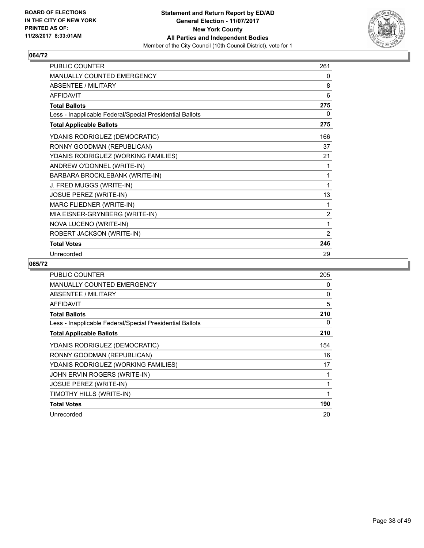

| PUBLIC COUNTER                                           | 261            |
|----------------------------------------------------------|----------------|
| <b>MANUALLY COUNTED EMERGENCY</b>                        | 0              |
| <b>ABSENTEE / MILITARY</b>                               | 8              |
| <b>AFFIDAVIT</b>                                         | 6              |
| <b>Total Ballots</b>                                     | 275            |
| Less - Inapplicable Federal/Special Presidential Ballots | 0              |
| <b>Total Applicable Ballots</b>                          | 275            |
| YDANIS RODRIGUEZ (DEMOCRATIC)                            | 166            |
| RONNY GOODMAN (REPUBLICAN)                               | 37             |
| YDANIS RODRIGUEZ (WORKING FAMILIES)                      | 21             |
| ANDREW O'DONNEL (WRITE-IN)                               | 1              |
| BARBARA BROCKLEBANK (WRITE-IN)                           | 1              |
| J. FRED MUGGS (WRITE-IN)                                 | 1              |
| JOSUE PEREZ (WRITE-IN)                                   | 13             |
| MARC FLIEDNER (WRITE-IN)                                 | 1              |
| MIA EISNER-GRYNBERG (WRITE-IN)                           | $\overline{2}$ |
| NOVA LUCENO (WRITE-IN)                                   | 1              |
| ROBERT JACKSON (WRITE-IN)                                | 2              |
| <b>Total Votes</b>                                       | 246            |
| Unrecorded                                               | 29             |

| PUBLIC COUNTER                                           | 205 |
|----------------------------------------------------------|-----|
| <b>MANUALLY COUNTED EMERGENCY</b>                        | 0   |
| <b>ABSENTEE / MILITARY</b>                               | 0   |
| <b>AFFIDAVIT</b>                                         | 5   |
| <b>Total Ballots</b>                                     | 210 |
| Less - Inapplicable Federal/Special Presidential Ballots | 0   |
| <b>Total Applicable Ballots</b>                          | 210 |
| YDANIS RODRIGUEZ (DEMOCRATIC)                            | 154 |
| RONNY GOODMAN (REPUBLICAN)                               | 16  |
| YDANIS RODRIGUEZ (WORKING FAMILIES)                      | 17  |
| JOHN ERVIN ROGERS (WRITE-IN)                             |     |
| <b>JOSUE PEREZ (WRITE-IN)</b>                            |     |
| TIMOTHY HILLS (WRITE-IN)                                 |     |
| <b>Total Votes</b>                                       | 190 |
| Unrecorded                                               | 20  |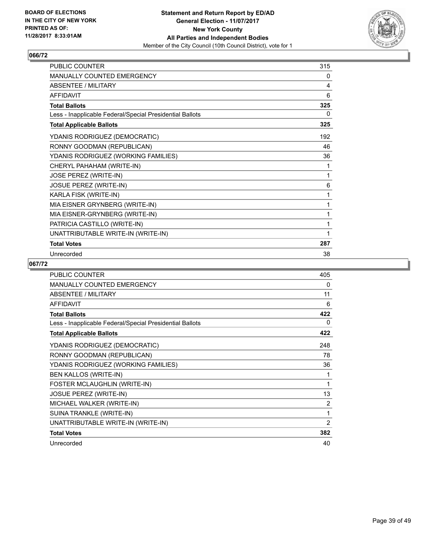

| <b>PUBLIC COUNTER</b>                                    | 315 |
|----------------------------------------------------------|-----|
| <b>MANUALLY COUNTED EMERGENCY</b>                        | 0   |
| <b>ABSENTEE / MILITARY</b>                               | 4   |
| <b>AFFIDAVIT</b>                                         | 6   |
| <b>Total Ballots</b>                                     | 325 |
| Less - Inapplicable Federal/Special Presidential Ballots | 0   |
| <b>Total Applicable Ballots</b>                          | 325 |
| YDANIS RODRIGUEZ (DEMOCRATIC)                            | 192 |
| RONNY GOODMAN (REPUBLICAN)                               | 46  |
| YDANIS RODRIGUEZ (WORKING FAMILIES)                      | 36  |
| CHERYL PAHAHAM (WRITE-IN)                                | 1   |
| <b>JOSE PEREZ (WRITE-IN)</b>                             | 1   |
| JOSUE PEREZ (WRITE-IN)                                   | 6   |
| KARLA FISK (WRITE-IN)                                    |     |
| MIA EISNER GRYNBERG (WRITE-IN)                           | 1   |
| MIA EISNER-GRYNBERG (WRITE-IN)                           | 1   |
| PATRICIA CASTILLO (WRITE-IN)                             | 1   |
| UNATTRIBUTABLE WRITE-IN (WRITE-IN)                       | 1   |
| <b>Total Votes</b>                                       | 287 |
| Unrecorded                                               | 38  |

| PUBLIC COUNTER                                           | 405 |
|----------------------------------------------------------|-----|
| <b>MANUALLY COUNTED EMERGENCY</b>                        | 0   |
| <b>ABSENTEE / MILITARY</b>                               | 11  |
| <b>AFFIDAVIT</b>                                         | 6   |
| <b>Total Ballots</b>                                     | 422 |
| Less - Inapplicable Federal/Special Presidential Ballots | 0   |
| <b>Total Applicable Ballots</b>                          | 422 |
| YDANIS RODRIGUEZ (DEMOCRATIC)                            | 248 |
| RONNY GOODMAN (REPUBLICAN)                               | 78  |
| YDANIS RODRIGUEZ (WORKING FAMILIES)                      | 36  |
| <b>BEN KALLOS (WRITE-IN)</b>                             | 1   |
| FOSTER MCLAUGHLIN (WRITE-IN)                             | 1   |
| <b>JOSUE PEREZ (WRITE-IN)</b>                            | 13  |
| MICHAEL WALKER (WRITE-IN)                                | 2   |
| SUINA TRANKLE (WRITE-IN)                                 | 1   |
| UNATTRIBUTABLE WRITE-IN (WRITE-IN)                       | 2   |
| <b>Total Votes</b>                                       | 382 |
| Unrecorded                                               | 40  |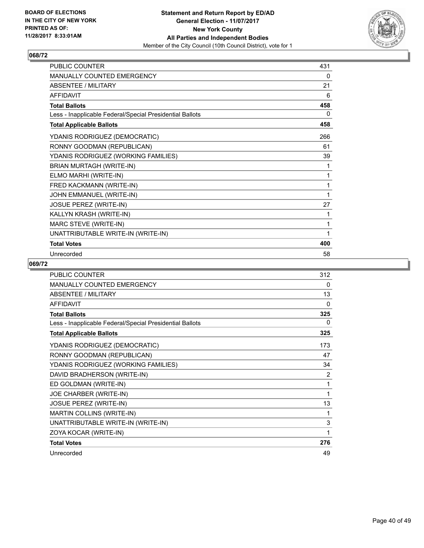

| <b>PUBLIC COUNTER</b>                                    | 431 |
|----------------------------------------------------------|-----|
| <b>MANUALLY COUNTED EMERGENCY</b>                        | 0   |
| <b>ABSENTEE / MILITARY</b>                               | 21  |
| <b>AFFIDAVIT</b>                                         | 6   |
| <b>Total Ballots</b>                                     | 458 |
| Less - Inapplicable Federal/Special Presidential Ballots | 0   |
| <b>Total Applicable Ballots</b>                          | 458 |
| YDANIS RODRIGUEZ (DEMOCRATIC)                            | 266 |
| RONNY GOODMAN (REPUBLICAN)                               | 61  |
| YDANIS RODRIGUEZ (WORKING FAMILIES)                      | 39  |
| BRIAN MURTAGH (WRITE-IN)                                 | 1   |
| ELMO MARHI (WRITE-IN)                                    | 1   |
| FRED KACKMANN (WRITE-IN)                                 | 1   |
| JOHN EMMANUEL (WRITE-IN)                                 | 1   |
| JOSUE PEREZ (WRITE-IN)                                   | 27  |
| KALLYN KRASH (WRITE-IN)                                  | 1   |
| MARC STEVE (WRITE-IN)                                    | 1   |
| UNATTRIBUTABLE WRITE-IN (WRITE-IN)                       | 1   |
| <b>Total Votes</b>                                       | 400 |
| Unrecorded                                               | 58  |

| <b>PUBLIC COUNTER</b>                                    | 312          |
|----------------------------------------------------------|--------------|
| <b>MANUALLY COUNTED EMERGENCY</b>                        | $\Omega$     |
| <b>ABSENTEE / MILITARY</b>                               | 13           |
| <b>AFFIDAVIT</b>                                         | $\mathbf{0}$ |
| <b>Total Ballots</b>                                     | 325          |
| Less - Inapplicable Federal/Special Presidential Ballots | $\Omega$     |
| <b>Total Applicable Ballots</b>                          | 325          |
| YDANIS RODRIGUEZ (DEMOCRATIC)                            | 173          |
| RONNY GOODMAN (REPUBLICAN)                               | 47           |
| YDANIS RODRIGUEZ (WORKING FAMILIES)                      | 34           |
| DAVID BRADHERSON (WRITE-IN)                              | 2            |
| ED GOLDMAN (WRITE-IN)                                    | 1            |
| JOE CHARBER (WRITE-IN)                                   | 1            |
| <b>JOSUE PEREZ (WRITE-IN)</b>                            | 13           |
| MARTIN COLLINS (WRITE-IN)                                | 1            |
| UNATTRIBUTABLE WRITE-IN (WRITE-IN)                       | 3            |
| ZOYA KOCAR (WRITE-IN)                                    | 1            |
| <b>Total Votes</b>                                       | 276          |
| Unrecorded                                               | 49           |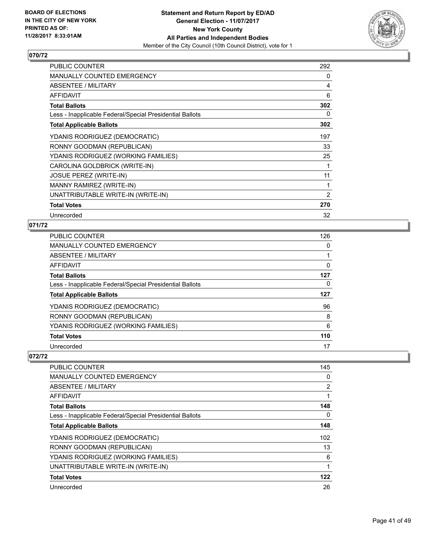

| <b>PUBLIC COUNTER</b>                                    | 292            |
|----------------------------------------------------------|----------------|
| <b>MANUALLY COUNTED EMERGENCY</b>                        | 0              |
| ABSENTEE / MILITARY                                      | 4              |
| AFFIDAVIT                                                | 6              |
| <b>Total Ballots</b>                                     | 302            |
| Less - Inapplicable Federal/Special Presidential Ballots | 0              |
| <b>Total Applicable Ballots</b>                          | 302            |
| YDANIS RODRIGUEZ (DEMOCRATIC)                            | 197            |
| RONNY GOODMAN (REPUBLICAN)                               | 33             |
| YDANIS RODRIGUEZ (WORKING FAMILIES)                      | 25             |
| CAROLINA GOLDBRICK (WRITE-IN)                            | 1              |
| <b>JOSUE PEREZ (WRITE-IN)</b>                            | 11             |
| MANNY RAMIREZ (WRITE-IN)                                 | 1              |
| UNATTRIBUTABLE WRITE-IN (WRITE-IN)                       | $\overline{2}$ |
| <b>Total Votes</b>                                       | 270            |
| Unrecorded                                               | 32             |

# **071/72**

| PUBLIC COUNTER                                           | 126 |
|----------------------------------------------------------|-----|
| <b>MANUALLY COUNTED EMERGENCY</b>                        | 0   |
| <b>ABSENTEE / MILITARY</b>                               |     |
| <b>AFFIDAVIT</b>                                         | 0   |
| <b>Total Ballots</b>                                     | 127 |
| Less - Inapplicable Federal/Special Presidential Ballots | 0   |
| <b>Total Applicable Ballots</b>                          | 127 |
| YDANIS RODRIGUEZ (DEMOCRATIC)                            | 96  |
| RONNY GOODMAN (REPUBLICAN)                               | 8   |
|                                                          |     |
| YDANIS RODRIGUEZ (WORKING FAMILIES)                      | 6   |
| <b>Total Votes</b>                                       | 110 |

| <b>PUBLIC COUNTER</b>                                    | 145 |
|----------------------------------------------------------|-----|
| <b>MANUALLY COUNTED EMERGENCY</b>                        | 0   |
| ABSENTEE / MILITARY                                      | 2   |
| <b>AFFIDAVIT</b>                                         |     |
| <b>Total Ballots</b>                                     | 148 |
| Less - Inapplicable Federal/Special Presidential Ballots | 0   |
| <b>Total Applicable Ballots</b>                          | 148 |
| YDANIS RODRIGUEZ (DEMOCRATIC)                            | 102 |
| RONNY GOODMAN (REPUBLICAN)                               | 13  |
| YDANIS RODRIGUEZ (WORKING FAMILIES)                      | 6   |
| UNATTRIBUTABLE WRITE-IN (WRITE-IN)                       |     |
| <b>Total Votes</b>                                       | 122 |
| Unrecorded                                               | 26  |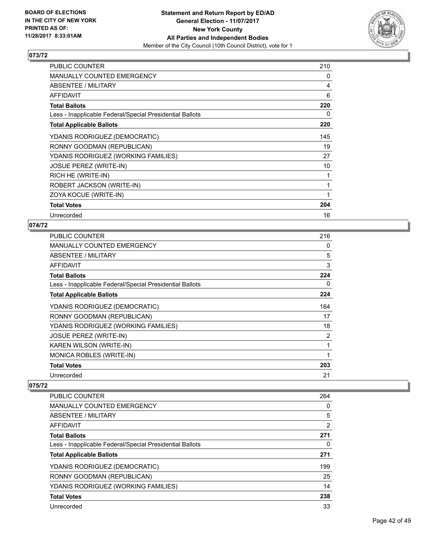

| <b>PUBLIC COUNTER</b>                                    | 210 |
|----------------------------------------------------------|-----|
| MANUALLY COUNTED EMERGENCY                               | 0   |
| ABSENTEE / MILITARY                                      | 4   |
| <b>AFFIDAVIT</b>                                         | 6   |
| <b>Total Ballots</b>                                     | 220 |
| Less - Inapplicable Federal/Special Presidential Ballots | 0   |
| <b>Total Applicable Ballots</b>                          | 220 |
| YDANIS RODRIGUEZ (DEMOCRATIC)                            | 145 |
| RONNY GOODMAN (REPUBLICAN)                               | 19  |
| YDANIS RODRIGUEZ (WORKING FAMILIES)                      | 27  |
| <b>JOSUE PEREZ (WRITE-IN)</b>                            | 10  |
| RICH HE (WRITE-IN)                                       | 1   |
| ROBERT JACKSON (WRITE-IN)                                | 1   |
| ZOYA KOCUE (WRITE-IN)                                    |     |
| <b>Total Votes</b>                                       | 204 |
| Unrecorded                                               | 16  |

## **074/72**

| <b>PUBLIC COUNTER</b>                                    | 216 |
|----------------------------------------------------------|-----|
| <b>MANUALLY COUNTED EMERGENCY</b>                        | 0   |
| ABSENTEE / MILITARY                                      | 5   |
| AFFIDAVIT                                                | 3   |
| <b>Total Ballots</b>                                     | 224 |
| Less - Inapplicable Federal/Special Presidential Ballots | 0   |
| <b>Total Applicable Ballots</b>                          | 224 |
| YDANIS RODRIGUEZ (DEMOCRATIC)                            | 164 |
| RONNY GOODMAN (REPUBLICAN)                               | 17  |
| YDANIS RODRIGUEZ (WORKING FAMILIES)                      | 18  |
| <b>JOSUE PEREZ (WRITE-IN)</b>                            | 2   |
| KAREN WILSON (WRITE-IN)                                  | 1   |
| MONICA ROBLES (WRITE-IN)                                 | 1   |
| <b>Total Votes</b>                                       | 203 |
| Unrecorded                                               | 21  |

| <b>PUBLIC COUNTER</b>                                    | 264            |
|----------------------------------------------------------|----------------|
| <b>MANUALLY COUNTED EMERGENCY</b>                        | 0              |
| ABSENTEE / MILITARY                                      | 5              |
| AFFIDAVIT                                                | $\overline{2}$ |
| <b>Total Ballots</b>                                     | 271            |
| Less - Inapplicable Federal/Special Presidential Ballots | 0              |
| <b>Total Applicable Ballots</b>                          | 271            |
| YDANIS RODRIGUEZ (DEMOCRATIC)                            | 199            |
| RONNY GOODMAN (REPUBLICAN)                               | 25             |
| YDANIS RODRIGUEZ (WORKING FAMILIES)                      | 14             |
| <b>Total Votes</b>                                       | 238            |
| Unrecorded                                               | 33             |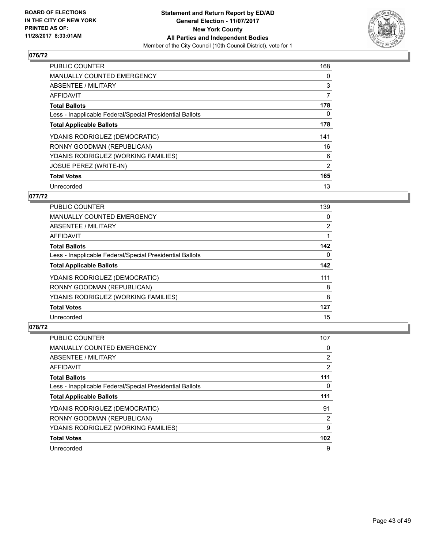

| <b>PUBLIC COUNTER</b>                                    | 168 |
|----------------------------------------------------------|-----|
| <b>MANUALLY COUNTED EMERGENCY</b>                        | 0   |
| ABSENTEE / MILITARY                                      | 3   |
| <b>AFFIDAVIT</b>                                         | 7   |
| <b>Total Ballots</b>                                     | 178 |
| Less - Inapplicable Federal/Special Presidential Ballots | 0   |
| <b>Total Applicable Ballots</b>                          | 178 |
| YDANIS RODRIGUEZ (DEMOCRATIC)                            | 141 |
| RONNY GOODMAN (REPUBLICAN)                               | 16  |
| YDANIS RODRIGUEZ (WORKING FAMILIES)                      | 6   |
| <b>JOSUE PEREZ (WRITE-IN)</b>                            | 2   |
| <b>Total Votes</b>                                       | 165 |
| Unrecorded                                               | 13  |

## **077/72**

| <b>PUBLIC COUNTER</b>                                    | 139 |
|----------------------------------------------------------|-----|
| <b>MANUALLY COUNTED EMERGENCY</b>                        | 0   |
| ABSENTEE / MILITARY                                      | 2   |
| <b>AFFIDAVIT</b>                                         |     |
| <b>Total Ballots</b>                                     | 142 |
| Less - Inapplicable Federal/Special Presidential Ballots | 0   |
| <b>Total Applicable Ballots</b>                          | 142 |
| YDANIS RODRIGUEZ (DEMOCRATIC)                            | 111 |
| RONNY GOODMAN (REPUBLICAN)                               | 8   |
| YDANIS RODRIGUEZ (WORKING FAMILIES)                      | 8   |
| <b>Total Votes</b>                                       | 127 |
| Unrecorded                                               | 15  |

| PUBLIC COUNTER                                           | 107 |
|----------------------------------------------------------|-----|
| <b>MANUALLY COUNTED EMERGENCY</b>                        | 0   |
| ABSENTEE / MILITARY                                      | 2   |
| AFFIDAVIT                                                | 2   |
| <b>Total Ballots</b>                                     | 111 |
| Less - Inapplicable Federal/Special Presidential Ballots | 0   |
| <b>Total Applicable Ballots</b>                          | 111 |
| YDANIS RODRIGUEZ (DEMOCRATIC)                            | 91  |
| RONNY GOODMAN (REPUBLICAN)                               | 2   |
| YDANIS RODRIGUEZ (WORKING FAMILIES)                      | 9   |
| <b>Total Votes</b>                                       | 102 |
|                                                          |     |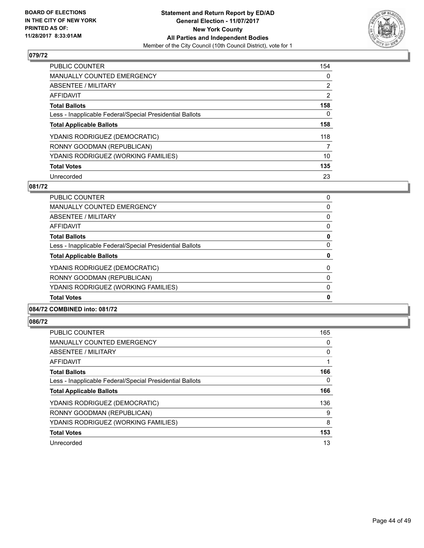

| <b>PUBLIC COUNTER</b>                                    | 154            |
|----------------------------------------------------------|----------------|
| <b>MANUALLY COUNTED EMERGENCY</b>                        | 0              |
| ABSENTEE / MILITARY                                      | $\overline{2}$ |
| AFFIDAVIT                                                | $\overline{2}$ |
| <b>Total Ballots</b>                                     | 158            |
| Less - Inapplicable Federal/Special Presidential Ballots | 0              |
| <b>Total Applicable Ballots</b>                          | 158            |
| YDANIS RODRIGUEZ (DEMOCRATIC)                            | 118            |
| RONNY GOODMAN (REPUBLICAN)                               | 7              |
| YDANIS RODRIGUEZ (WORKING FAMILIES)                      | 10             |
| <b>Total Votes</b>                                       | 135            |
| Unrecorded                                               | 23             |

#### **081/72**

| <b>Total Votes</b>                                       | 0 |
|----------------------------------------------------------|---|
| YDANIS RODRIGUEZ (WORKING FAMILIES)                      | 0 |
| RONNY GOODMAN (REPUBLICAN)                               | 0 |
| YDANIS RODRIGUEZ (DEMOCRATIC)                            | 0 |
| <b>Total Applicable Ballots</b>                          | 0 |
| Less - Inapplicable Federal/Special Presidential Ballots | 0 |
| <b>Total Ballots</b>                                     | 0 |
| AFFIDAVIT                                                | 0 |
| ABSENTEE / MILITARY                                      | 0 |
| MANUALLY COUNTED EMERGENCY                               | 0 |
| <b>PUBLIC COUNTER</b>                                    | 0 |

## **084/72 COMBINED into: 081/72**

| <b>PUBLIC COUNTER</b>                                    | 165 |
|----------------------------------------------------------|-----|
| <b>MANUALLY COUNTED EMERGENCY</b>                        | 0   |
| ABSENTEE / MILITARY                                      | 0   |
| AFFIDAVIT                                                |     |
| <b>Total Ballots</b>                                     | 166 |
| Less - Inapplicable Federal/Special Presidential Ballots | 0   |
| <b>Total Applicable Ballots</b>                          | 166 |
| YDANIS RODRIGUEZ (DEMOCRATIC)                            | 136 |
| RONNY GOODMAN (REPUBLICAN)                               | 9   |
| YDANIS RODRIGUEZ (WORKING FAMILIES)                      | 8   |
| <b>Total Votes</b>                                       | 153 |
| Unrecorded                                               | 13  |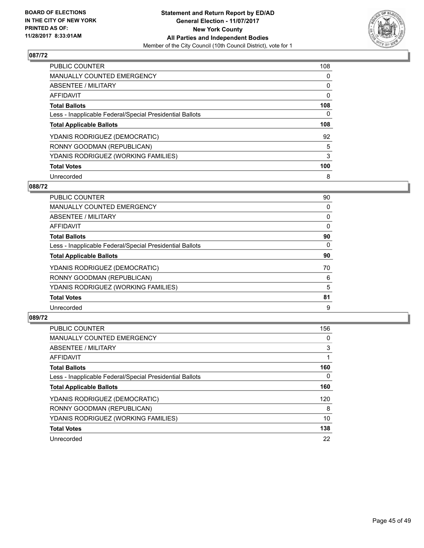

| <b>PUBLIC COUNTER</b>                                    | 108 |
|----------------------------------------------------------|-----|
| <b>MANUALLY COUNTED EMERGENCY</b>                        | 0   |
| ABSENTEE / MILITARY                                      | 0   |
| AFFIDAVIT                                                | 0   |
| <b>Total Ballots</b>                                     | 108 |
| Less - Inapplicable Federal/Special Presidential Ballots | 0   |
| <b>Total Applicable Ballots</b>                          | 108 |
| YDANIS RODRIGUEZ (DEMOCRATIC)                            | 92  |
| RONNY GOODMAN (REPUBLICAN)                               | 5   |
| YDANIS RODRIGUEZ (WORKING FAMILIES)                      | 3   |
| <b>Total Votes</b>                                       | 100 |
| Unrecorded                                               | 8   |

## **088/72**

| <b>PUBLIC COUNTER</b>                                    | 90       |
|----------------------------------------------------------|----------|
| <b>MANUALLY COUNTED EMERGENCY</b>                        | 0        |
| ABSENTEE / MILITARY                                      | 0        |
| <b>AFFIDAVIT</b>                                         | 0        |
| <b>Total Ballots</b>                                     | 90       |
| Less - Inapplicable Federal/Special Presidential Ballots | $\Omega$ |
| <b>Total Applicable Ballots</b>                          | 90       |
| YDANIS RODRIGUEZ (DEMOCRATIC)                            | 70       |
| RONNY GOODMAN (REPUBLICAN)                               | 6        |
| YDANIS RODRIGUEZ (WORKING FAMILIES)                      | 5        |
| <b>Total Votes</b>                                       | 81       |
| Unrecorded                                               | 9        |

| <b>PUBLIC COUNTER</b>                                    | 156 |
|----------------------------------------------------------|-----|
| <b>MANUALLY COUNTED EMERGENCY</b>                        | 0   |
| ABSENTEE / MILITARY                                      | 3   |
| AFFIDAVIT                                                |     |
| <b>Total Ballots</b>                                     | 160 |
| Less - Inapplicable Federal/Special Presidential Ballots | 0   |
| <b>Total Applicable Ballots</b>                          | 160 |
| YDANIS RODRIGUEZ (DEMOCRATIC)                            | 120 |
| RONNY GOODMAN (REPUBLICAN)                               | 8   |
| YDANIS RODRIGUEZ (WORKING FAMILIES)                      | 10  |
| <b>Total Votes</b>                                       | 138 |
| Unrecorded                                               | 22  |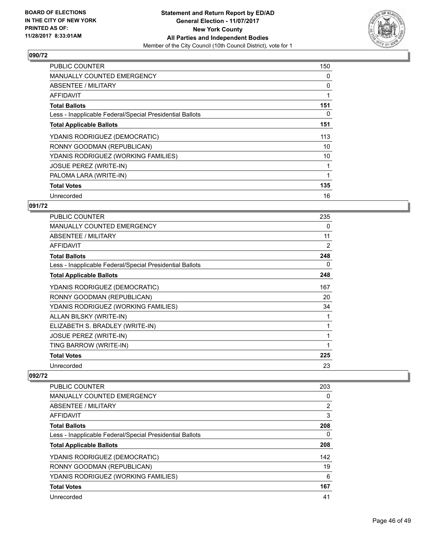

| <b>PUBLIC COUNTER</b>                                    | 150 |
|----------------------------------------------------------|-----|
| <b>MANUALLY COUNTED EMERGENCY</b>                        | 0   |
| <b>ABSENTEE / MILITARY</b>                               | 0   |
| AFFIDAVIT                                                |     |
| <b>Total Ballots</b>                                     | 151 |
| Less - Inapplicable Federal/Special Presidential Ballots | 0   |
| <b>Total Applicable Ballots</b>                          | 151 |
| YDANIS RODRIGUEZ (DEMOCRATIC)                            | 113 |
| RONNY GOODMAN (REPUBLICAN)                               | 10  |
| YDANIS RODRIGUEZ (WORKING FAMILIES)                      | 10  |
| <b>JOSUE PEREZ (WRITE-IN)</b>                            | 1   |
| PALOMA LARA (WRITE-IN)                                   |     |
| <b>Total Votes</b>                                       | 135 |
| Unrecorded                                               | 16  |

## **091/72**

| <b>PUBLIC COUNTER</b>                                    | 235 |
|----------------------------------------------------------|-----|
| MANUALLY COUNTED EMERGENCY                               | 0   |
| ABSENTEE / MILITARY                                      | 11  |
| <b>AFFIDAVIT</b>                                         | 2   |
| <b>Total Ballots</b>                                     | 248 |
| Less - Inapplicable Federal/Special Presidential Ballots | 0   |
| <b>Total Applicable Ballots</b>                          | 248 |
| YDANIS RODRIGUEZ (DEMOCRATIC)                            | 167 |
| RONNY GOODMAN (REPUBLICAN)                               | 20  |
| YDANIS RODRIGUEZ (WORKING FAMILIES)                      | 34  |
| ALLAN BILSKY (WRITE-IN)                                  | 1   |
| ELIZABETH S. BRADLEY (WRITE-IN)                          |     |
| <b>JOSUE PEREZ (WRITE-IN)</b>                            | 1   |
| TING BARROW (WRITE-IN)                                   | 1   |
| <b>Total Votes</b>                                       | 225 |
| Unrecorded                                               | 23  |

| <b>PUBLIC COUNTER</b>                                    | 203            |
|----------------------------------------------------------|----------------|
| <b>MANUALLY COUNTED EMERGENCY</b>                        | 0              |
| <b>ABSENTEE / MILITARY</b>                               | $\overline{2}$ |
| <b>AFFIDAVIT</b>                                         | 3              |
| <b>Total Ballots</b>                                     | 208            |
| Less - Inapplicable Federal/Special Presidential Ballots | 0              |
| <b>Total Applicable Ballots</b>                          | 208            |
| YDANIS RODRIGUEZ (DEMOCRATIC)                            | 142            |
| RONNY GOODMAN (REPUBLICAN)                               | 19             |
| YDANIS RODRIGUEZ (WORKING FAMILIES)                      | 6              |
| <b>Total Votes</b>                                       | 167            |
| Unrecorded                                               | 41             |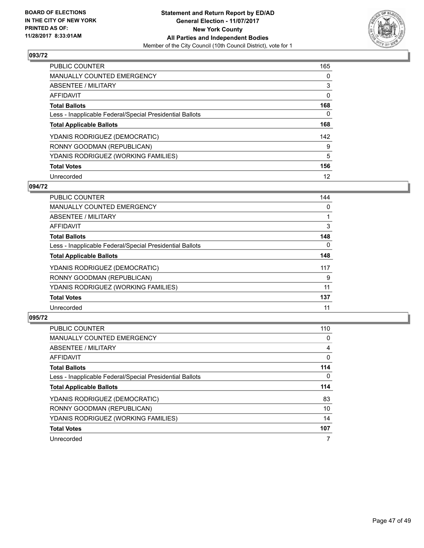

| <b>PUBLIC COUNTER</b>                                    | 165 |
|----------------------------------------------------------|-----|
| <b>MANUALLY COUNTED EMERGENCY</b>                        | 0   |
| ABSENTEE / MILITARY                                      | 3   |
| AFFIDAVIT                                                | 0   |
| <b>Total Ballots</b>                                     | 168 |
| Less - Inapplicable Federal/Special Presidential Ballots | 0   |
| <b>Total Applicable Ballots</b>                          | 168 |
| YDANIS RODRIGUEZ (DEMOCRATIC)                            | 142 |
| RONNY GOODMAN (REPUBLICAN)                               | 9   |
| YDANIS RODRIGUEZ (WORKING FAMILIES)                      | 5   |
| <b>Total Votes</b>                                       | 156 |
| Unrecorded                                               | 12  |

## **094/72**

| <b>PUBLIC COUNTER</b>                                    | 144      |
|----------------------------------------------------------|----------|
| <b>MANUALLY COUNTED EMERGENCY</b>                        | 0        |
| ABSENTEE / MILITARY                                      |          |
| <b>AFFIDAVIT</b>                                         | 3        |
| <b>Total Ballots</b>                                     | 148      |
| Less - Inapplicable Federal/Special Presidential Ballots | $\Omega$ |
| <b>Total Applicable Ballots</b>                          | 148      |
| YDANIS RODRIGUEZ (DEMOCRATIC)                            | 117      |
| RONNY GOODMAN (REPUBLICAN)                               | 9        |
| YDANIS RODRIGUEZ (WORKING FAMILIES)                      | 11       |
| <b>Total Votes</b>                                       | 137      |
| Unrecorded                                               | 11       |

| <b>PUBLIC COUNTER</b>                                    | 110 |
|----------------------------------------------------------|-----|
| <b>MANUALLY COUNTED EMERGENCY</b>                        | 0   |
| ABSENTEE / MILITARY                                      | 4   |
| <b>AFFIDAVIT</b>                                         | 0   |
| <b>Total Ballots</b>                                     | 114 |
| Less - Inapplicable Federal/Special Presidential Ballots | 0   |
| <b>Total Applicable Ballots</b>                          | 114 |
| YDANIS RODRIGUEZ (DEMOCRATIC)                            | 83  |
| RONNY GOODMAN (REPUBLICAN)                               | 10  |
| YDANIS RODRIGUEZ (WORKING FAMILIES)                      | 14  |
| <b>Total Votes</b>                                       | 107 |
|                                                          |     |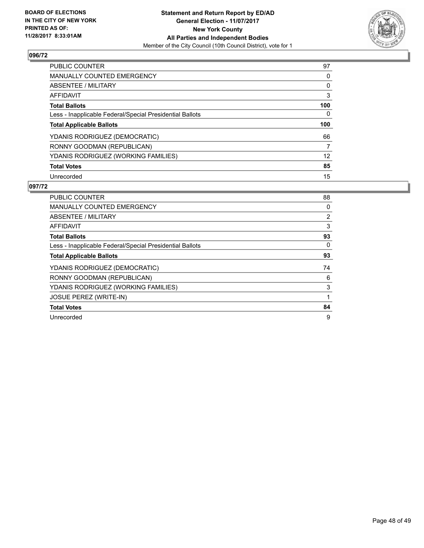

| <b>PUBLIC COUNTER</b>                                    | 97  |
|----------------------------------------------------------|-----|
| <b>MANUALLY COUNTED EMERGENCY</b>                        | 0   |
| ABSENTEE / MILITARY                                      | 0   |
| AFFIDAVIT                                                | 3   |
| <b>Total Ballots</b>                                     | 100 |
| Less - Inapplicable Federal/Special Presidential Ballots | 0   |
| <b>Total Applicable Ballots</b>                          | 100 |
|                                                          |     |
| YDANIS RODRIGUEZ (DEMOCRATIC)                            | 66  |
| RONNY GOODMAN (REPUBLICAN)                               | 7   |
| YDANIS RODRIGUEZ (WORKING FAMILIES)                      | 12  |
| <b>Total Votes</b>                                       | 85  |

| <b>PUBLIC COUNTER</b>                                    | 88 |
|----------------------------------------------------------|----|
| <b>MANUALLY COUNTED EMERGENCY</b>                        | 0  |
| ABSENTEE / MILITARY                                      | 2  |
| AFFIDAVIT                                                | 3  |
| <b>Total Ballots</b>                                     | 93 |
| Less - Inapplicable Federal/Special Presidential Ballots | 0  |
| <b>Total Applicable Ballots</b>                          | 93 |
| YDANIS RODRIGUEZ (DEMOCRATIC)                            | 74 |
| RONNY GOODMAN (REPUBLICAN)                               | 6  |
| YDANIS RODRIGUEZ (WORKING FAMILIES)                      | 3  |
| <b>JOSUE PEREZ (WRITE-IN)</b>                            | 1  |
| <b>Total Votes</b>                                       | 84 |
| Unrecorded                                               | 9  |